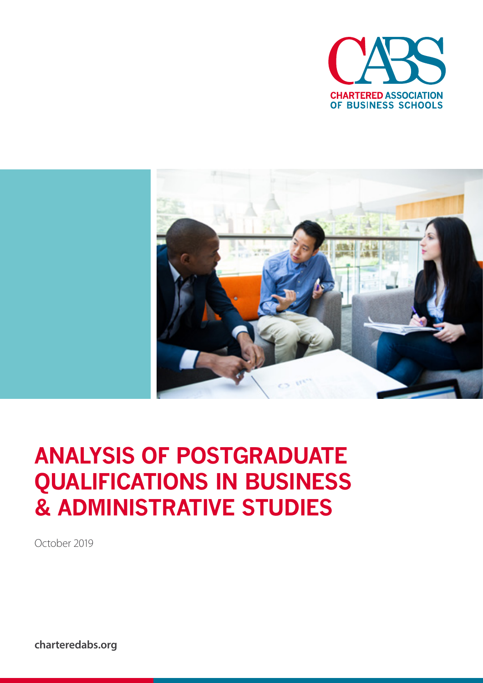



# **ANALYSIS OF POSTGRADUATE QUALIFICATIONS IN BUSINESS & ADMINISTRATIVE STUDIES**

October 2019

**charteredabs.org**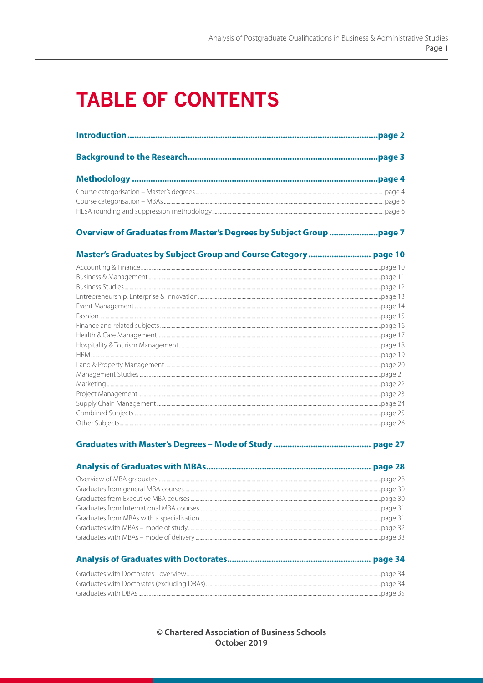# **TABLE OF CONTENTS**

### 

## 

#### 

| Craduates with Destarates avenueur | $\mathcal{L} \cap \mathcal{L} \cap \mathcal{L} \cap \mathcal{L} \cap \mathcal{L}$ |
|------------------------------------|-----------------------------------------------------------------------------------|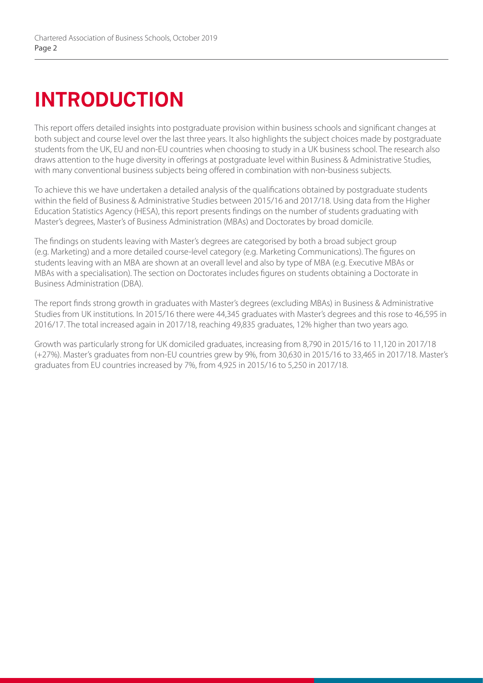# **INTRODUCTION**

This report offers detailed insights into postgraduate provision within business schools and significant changes at both subject and course level over the last three years. It also highlights the subject choices made by postgraduate students from the UK, EU and non-EU countries when choosing to study in a UK business school. The research also draws attention to the huge diversity in offerings at postgraduate level within Business & Administrative Studies, with many conventional business subjects being offered in combination with non-business subjects.

To achieve this we have undertaken a detailed analysis of the qualifications obtained by postgraduate students within the field of Business & Administrative Studies between 2015/16 and 2017/18. Using data from the Higher Education Statistics Agency (HESA), this report presents findings on the number of students graduating with Master's degrees, Master's of Business Administration (MBAs) and Doctorates by broad domicile.

The findings on students leaving with Master's degrees are categorised by both a broad subject group (e.g. Marketing) and a more detailed course-level category (e.g. Marketing Communications). The figures on students leaving with an MBA are shown at an overall level and also by type of MBA (e.g. Executive MBAs or MBAs with a specialisation). The section on Doctorates includes figures on students obtaining a Doctorate in Business Administration (DBA).

The report finds strong growth in graduates with Master's degrees (excluding MBAs) in Business & Administrative Studies from UK institutions. In 2015/16 there were 44,345 graduates with Master's degrees and this rose to 46,595 in 2016/17. The total increased again in 2017/18, reaching 49,835 graduates, 12% higher than two years ago.

Growth was particularly strong for UK domiciled graduates, increasing from 8,790 in 2015/16 to 11,120 in 2017/18 (+27%). Master's graduates from non-EU countries grew by 9%, from 30,630 in 2015/16 to 33,465 in 2017/18. Master's graduates from EU countries increased by 7%, from 4,925 in 2015/16 to 5,250 in 2017/18.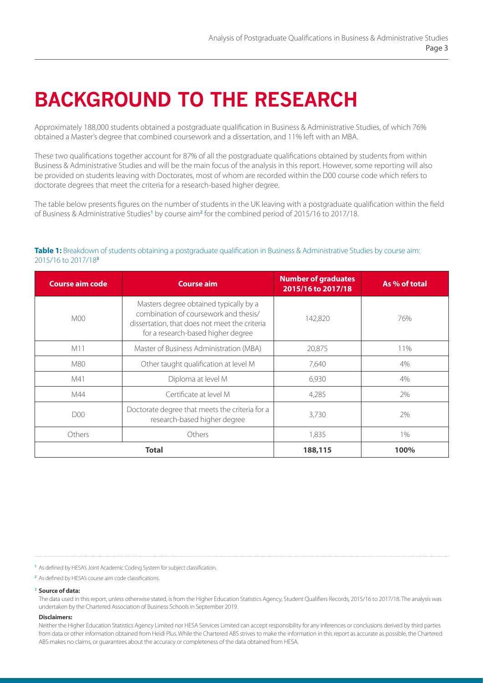# **BACKGROUND TO THE RESEARCH**

Approximately 188,000 students obtained a postgraduate qualification in Business & Administrative Studies, of which 76% obtained a Master's degree that combined coursework and a dissertation, and 11% left with an MBA.

These two qualifications together account for 87% of all the postgraduate qualifications obtained by students from within Business & Administrative Studies and will be the main focus of the analysis in this report. However, some reporting will also be provided on students leaving with Doctorates, most of whom are recorded within the D00 course code which refers to doctorate degrees that meet the criteria for a research-based higher degree.

The table below presents figures on the number of students in the UK leaving with a postgraduate qualification within the field of Business & Administrative Studies**<sup>1</sup>** by course aim**<sup>2</sup>** for the combined period of 2015/16 to 2017/18.

#### **Table 1:** Breakdown of students obtaining a postgraduate qualification in Business & Administrative Studies by course aim: 2015/16 to 2017/18**<sup>3</sup>**

| <b>Course aim code</b> | <b>Course aim</b>                                                                                                                                                      | <b>Number of graduates</b><br>2015/16 to 2017/18 | As % of total |
|------------------------|------------------------------------------------------------------------------------------------------------------------------------------------------------------------|--------------------------------------------------|---------------|
| M <sub>00</sub>        | Masters degree obtained typically by a<br>combination of coursework and thesis/<br>dissertation, that does not meet the criteria<br>for a research-based higher degree | 142,820                                          |               |
| M11                    | Master of Business Administration (MBA)                                                                                                                                | 20,875                                           | 11%           |
| M80                    | Other taught qualification at level M                                                                                                                                  | 7,640                                            | 4%            |
| M41                    | Diploma at level M                                                                                                                                                     | 6,930                                            | 4%            |
| M44                    | Certificate at level M<br>4,285                                                                                                                                        |                                                  | 2%            |
| D <sub>00</sub>        | Doctorate degree that meets the criteria for a<br>research-based higher degree                                                                                         | 3,730                                            | 2%            |
| Others                 | Others                                                                                                                                                                 | 1,835                                            | $1\%$         |
|                        | <b>Total</b>                                                                                                                                                           | 188,115                                          | 100%          |

**<sup>1</sup>** As defined by HESA's Joint Academic Coding System for subject classification.

**<sup>2</sup>**As defined by HESA's course aim code classifications.

#### **3 Source of data:**

 The data used in this report, unless otherwise stated, is from the Higher Education Statistics Agency, Student Qualifiers Records, 2015/16 to 2017/18. The analysis was undertaken by the Chartered Association of Business Schools in September 2019.

#### **Disclaimers:**

 Neither the Higher Education Statistics Agency Limited nor HESA Services Limited can accept responsibility for any inferences or conclusions derived by third parties from data or other information obtained from Heidi Plus. While the Chartered ABS strives to make the information in this report as accurate as possible, the Chartered ABS makes no claims, or guarantees about the accuracy or completeness of the data obtained from HESA.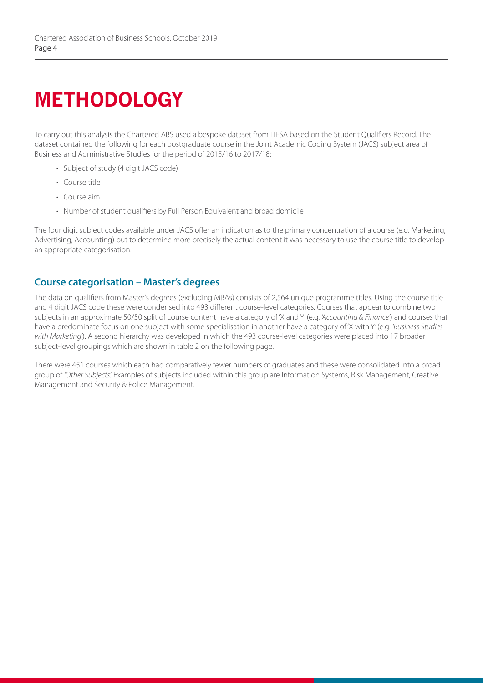# **METHODOLOGY**

To carry out this analysis the Chartered ABS used a bespoke dataset from HESA based on the Student Qualifiers Record. The dataset contained the following for each postgraduate course in the Joint Academic Coding System (JACS) subject area of Business and Administrative Studies for the period of 2015/16 to 2017/18:

- Subject of study (4 digit JACS code)
- Course title
- Course aim
- Number of student qualifiers by Full Person Equivalent and broad domicile

The four digit subject codes available under JACS offer an indication as to the primary concentration of a course (e.g. Marketing, Advertising, Accounting) but to determine more precisely the actual content it was necessary to use the course title to develop an appropriate categorisation.

## **Course categorisation – Master's degrees**

The data on qualifiers from Master's degrees (excluding MBAs) consists of 2,564 unique programme titles. Using the course title and 4 digit JACS code these were condensed into 493 different course-level categories. Courses that appear to combine two subjects in an approximate 50/50 split of course content have a category of 'X and Y' (e.g. *'Accounting & Finance'*) and courses that have a predominate focus on one subject with some specialisation in another have a category of 'X with Y' (e.g. *'Business Studies with Marketing'*). A second hierarchy was developed in which the 493 course-level categories were placed into 17 broader subject-level groupings which are shown in table 2 on the following page.

There were 451 courses which each had comparatively fewer numbers of graduates and these were consolidated into a broad group of *'Other Subjects'.* Examples of subjects included within this group are Information Systems, Risk Management, Creative Management and Security & Police Management.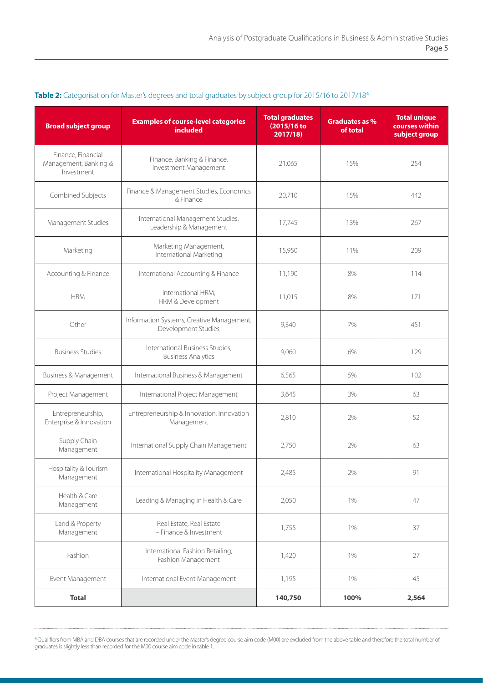| <b>Broad subject group</b>                                | <b>Examples of course-level categories</b><br>included           | <b>Total graduates</b><br>(2015/16 to<br>2017/18 | Graduates as %<br>of total | <b>Total unique</b><br>courses within<br>subject group |
|-----------------------------------------------------------|------------------------------------------------------------------|--------------------------------------------------|----------------------------|--------------------------------------------------------|
| Finance, Financial<br>Management, Banking &<br>Investment | Finance, Banking & Finance,<br>Investment Management             | 21,065                                           | 15%                        | 254                                                    |
| Combined Subjects                                         | Finance & Management Studies, Economics<br>& Finance             | 20,710                                           | 15%                        | 442                                                    |
| Management Studies                                        | International Management Studies,<br>Leadership & Management     | 17,745                                           | 13%                        | 267                                                    |
| Marketing                                                 | Marketing Management,<br>International Marketing                 | 15,950                                           | 11%                        | 209                                                    |
| Accounting & Finance                                      | International Accounting & Finance                               | 11,190                                           | 8%                         | 114                                                    |
| <b>HRM</b>                                                | International HRM,<br>HRM & Development                          | 11,015                                           | 8%                         | 171                                                    |
| Other                                                     | Information Systems, Creative Management,<br>Development Studies | 9,340                                            | 7%                         | 451                                                    |
| <b>Business Studies</b>                                   | International Business Studies,<br><b>Business Analytics</b>     | 9,060                                            | 6%                         | 129                                                    |
| Business & Management                                     | International Business & Management                              | 6,565                                            | 5%                         | 102                                                    |
| Project Management                                        | International Project Management                                 | 3,645                                            | 3%                         | 63                                                     |
| Entrepreneurship,<br>Enterprise & Innovation              | Entrepreneurship & Innovation, Innovation<br>Management          |                                                  | 2%                         | 52                                                     |
| Supply Chain<br>Management                                | International Supply Chain Management                            | 2,750                                            | 2%                         | 63                                                     |
| Hospitality & Tourism<br>Management                       | International Hospitality Management                             | 2,485                                            | 2%                         | 91                                                     |
| Health & Care<br>Management                               | Leading & Managing in Health & Care                              | 2,050                                            | $1\%$                      | 47                                                     |
| Land & Property<br>Management                             | Real Estate, Real Estate<br>- Finance & Investment               | 1,755                                            | 1%                         | 37                                                     |
| Fashion                                                   | International Fashion Retailing,<br>Fashion Management           | 1,420                                            | 1%                         | 27                                                     |
| Event Management                                          | International Event Management                                   | 1,195                                            | 1%                         | 45                                                     |
| <b>Total</b>                                              |                                                                  | 140,750                                          | 100%                       | 2,564                                                  |

### **Table 2:** Categorisation for Master's degrees and total graduates by subject group for 2015/16 to 2017/18**<sup>4</sup>**

**<sup>4</sup>**Qualifiers from MBA and DBA courses that are recorded under the Master's degree course aim code (M00) are excluded from the above table and therefore the total number of graduates is slightly less than recorded for the M00 course aim code in table 1.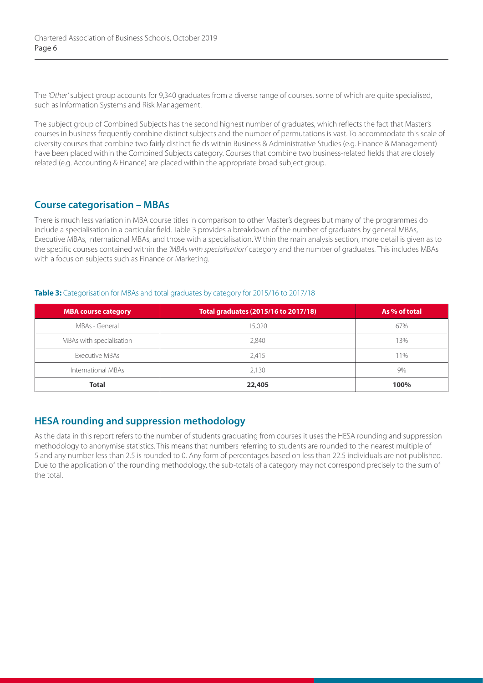The *'Other'* subject group accounts for 9,340 graduates from a diverse range of courses, some of which are quite specialised, such as Information Systems and Risk Management.

The subject group of Combined Subjects has the second highest number of graduates, which reflects the fact that Master's courses in business frequently combine distinct subjects and the number of permutations is vast. To accommodate this scale of diversity courses that combine two fairly distinct fields within Business & Administrative Studies (e.g. Finance & Management) have been placed within the Combined Subjects category. Courses that combine two business-related fields that are closely related (e.g. Accounting & Finance) are placed within the appropriate broad subject group.

## **Course categorisation – MBAs**

There is much less variation in MBA course titles in comparison to other Master's degrees but many of the programmes do include a specialisation in a particular field. Table 3 provides a breakdown of the number of graduates by general MBAs, Executive MBAs, International MBAs, and those with a specialisation. Within the main analysis section, more detail is given as to the specific courses contained within the *'MBAs with specialisation'* category and the number of graduates. This includes MBAs with a focus on subjects such as Finance or Marketing.

#### Table 3: Categorisation for MBAs and total graduates by category for 2015/16 to 2017/18

| MBA course category      | Total graduates (2015/16 to 2017/18) | As % of total |
|--------------------------|--------------------------------------|---------------|
| MBAs - General           | 15.020                               | 67%           |
| MBAs with specialisation | 2,840                                | 13%           |
| Executive MBAs           | 2,415                                | 11%           |
| International MBAs       | 2.130                                | 9%            |
| <b>Total</b>             | 22,405                               | 100%          |

## **HESA rounding and suppression methodology**

As the data in this report refers to the number of students graduating from courses it uses the HESA rounding and suppression methodology to anonymise statistics. This means that numbers referring to students are rounded to the nearest multiple of 5 and any number less than 2.5 is rounded to 0. Any form of percentages based on less than 22.5 individuals are not published. Due to the application of the rounding methodology, the sub-totals of a category may not correspond precisely to the sum of the total.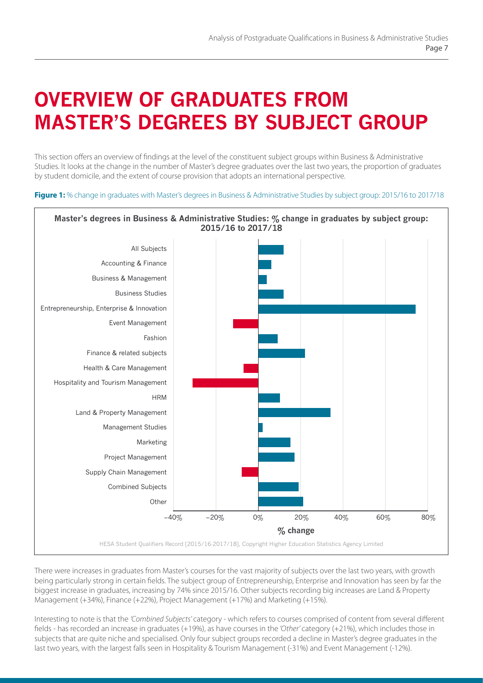# **OVERVIEW OF GRADUATES FROM MASTER'S DEGREES BY SUBJECT GROUP**

This section offers an overview of findings at the level of the constituent subject groups within Business & Administrative Studies. It looks at the change in the number of Master's degree graduates over the last two years, the proportion of graduates by student domicile, and the extent of course provision that adopts an international perspective.

**Figure 1:** % change in graduates with Master's degrees in Business & Administrative Studies by subject group: 2015/16 to 2017/18



There were increases in graduates from Master's courses for the vast majority of subjects over the last two years, with growth being particularly strong in certain fields. The subject group of Entrepreneurship, Enterprise and Innovation has seen by far the biggest increase in graduates, increasing by 74% since 2015/16. Other subjects recording big increases are Land & Property Management (+34%), Finance (+22%), Project Management (+17%) and Marketing (+15%).

Interesting to note is that the *'Combined Subjects'* category - which refers to courses comprised of content from several different fields - has recorded an increase in graduates (+19%), as have courses in the *'Other'* category (+21%), which includes those in subjects that are quite niche and specialised. Only four subject groups recorded a decline in Master's degree graduates in the last two years, with the largest falls seen in Hospitality & Tourism Management (-31%) and Event Management (-12%).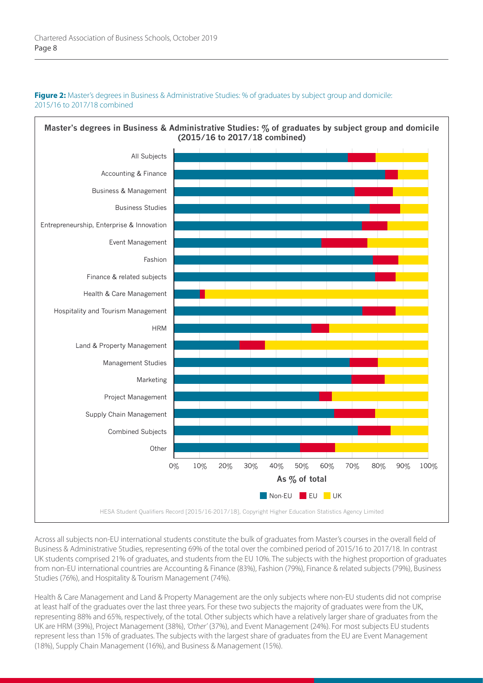#### **Figure 2:** Master's degrees in Business & Administrative Studies: % of graduates by subject group and domicile: 2015/16 to 2017/18 combined



Across all subjects non-EU international students constitute the bulk of graduates from Master's courses in the overall field of Business & Administrative Studies, representing 69% of the total over the combined period of 2015/16 to 2017/18. In contrast UK students comprised 21% of graduates, and students from the EU 10%. The subjects with the highest proportion of graduates from non-EU international countries are Accounting & Finance (83%), Fashion (79%), Finance & related subjects (79%), Business Studies (76%), and Hospitality & Tourism Management (74%).

Health & Care Management and Land & Property Management are the only subjects where non-EU students did not comprise at least half of the graduates over the last three years. For these two subjects the majority of graduates were from the UK, representing 88% and 65%, respectively, of the total. Other subjects which have a relatively larger share of graduates from the UK are HRM (39%), Project Management (38%), *'Other'* (37%), and Event Management (24%). For most subjects EU students represent less than 15% of graduates. The subjects with the largest share of graduates from the EU are Event Management (18%), Supply Chain Management (16%), and Business & Management (15%).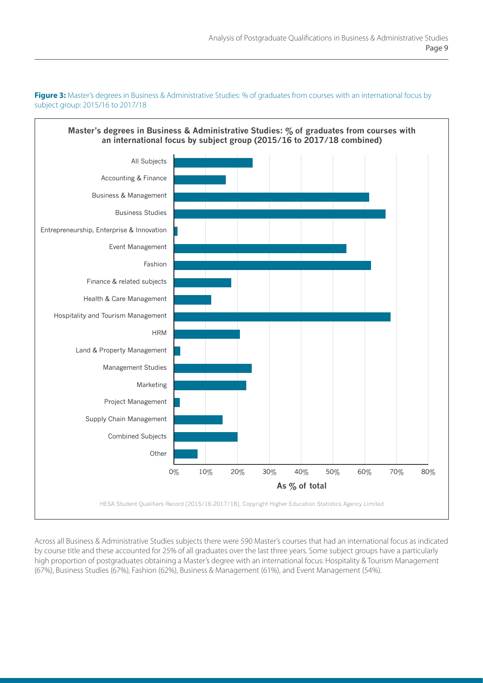**Figure 3:** Master's degrees in Business & Administrative Studies: % of graduates from courses with an international focus by subject group: 2015/16 to 2017/18

# **Master's degrees in Business & Administrative Studies: % of graduates from courses with an international focus by subject group (2015/16 to 2017/18 combined)**



Across all Business & Administrative Studies subjects there were 590 Master's courses that had an international focus as indicated by course title and these accounted for 25% of all graduates over the last three years. Some subject groups have a particularly high proportion of postgraduates obtaining a Master's degree with an international focus: Hospitality & Tourism Management (67%), Business Studies (67%), Fashion (62%), Business & Management (61%), and Event Management (54%).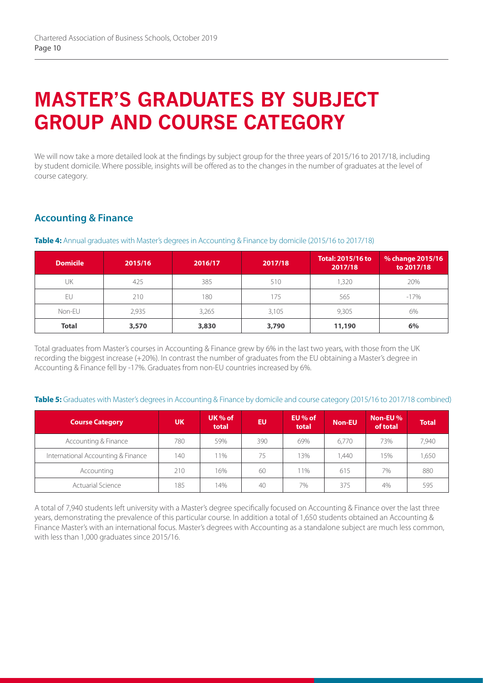# **MASTER'S GRADUATES BY SUBJECT GROUP AND COURSE CATEGORY**

We will now take a more detailed look at the findings by subject group for the three years of 2015/16 to 2017/18, including by student domicile. Where possible, insights will be offered as to the changes in the number of graduates at the level of course category.

# **Accounting & Finance**

| <b>Domicile</b> | 2015/16 | 2016/17 | 2017/18 | <b>Total: 2015/16 to</b><br>2017/18 | % change 2015/16<br>to 2017/18 |
|-----------------|---------|---------|---------|-------------------------------------|--------------------------------|
| UK              | 425     | 385     | 510     | 1,320                               | 20%                            |
| EU              | 210     | 180     | 175     | 565                                 | $-17%$                         |
| Non-EU          | 2,935   | 3,265   | 3,105   | 9.305                               | 6%                             |
| <b>Total</b>    | 3,570   | 3,830   | 3,790   | 11,190                              | 6%                             |

**Table 4:** Annual graduates with Master's degrees in Accounting & Finance by domicile (2015/16 to 2017/18)

Total graduates from Master's courses in Accounting & Finance grew by 6% in the last two years, with those from the UK recording the biggest increase (+20%). In contrast the number of graduates from the EU obtaining a Master's degree in Accounting & Finance fell by -17%. Graduates from non-EU countries increased by 6%.

#### **Table 5:** Graduates with Master's degrees in Accounting & Finance by domicile and course category (2015/16 to 2017/18 combined)

| <b>Course Category</b>             | <b>UK</b> | UK $%$ of<br>total | EU  | EU % of<br>total | <b>Non-EU</b> | Non-EU %<br>of total | <b>Total</b> |
|------------------------------------|-----------|--------------------|-----|------------------|---------------|----------------------|--------------|
| Accounting & Finance               | 780       | 59%                | 390 | 69%              | 6.770         | 73%                  | 7,940        |
| International Accounting & Finance | 140       | $1\%$              | 75. | ' 3%             | .440          | 15%                  | 1,650        |
| Accounting                         | 210       | 16%                | 60  | 11%              | 615           | 7%                   | 880          |
| <b>Actuarial Science</b>           | 185       | 14%                | 40  | 7%               | 375           | 4%                   | 595          |

A total of 7,940 students left university with a Master's degree specifically focused on Accounting & Finance over the last three years, demonstrating the prevalence of this particular course. In addition a total of 1,650 students obtained an Accounting & Finance Master's with an international focus. Master's degrees with Accounting as a standalone subject are much less common, with less than 1,000 graduates since 2015/16.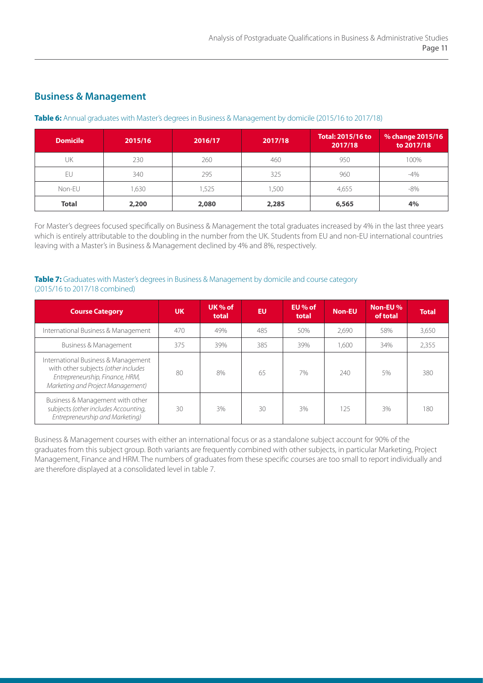## **Business & Management**

#### **Table 6:** Annual graduates with Master's degrees in Business & Management by domicile (2015/16 to 2017/18)

| <b>Domicile</b> | 2015/16 | 2016/17 | 2017/18 | <b>Total: 2015/16 to</b><br>2017/18 | % change 2015/16<br>to 2017/18 |
|-----------------|---------|---------|---------|-------------------------------------|--------------------------------|
| UK              | 230     | 260     | 460     | 950                                 | 100%                           |
| EU              | 340     | 295     | 325     | 960                                 | $-4%$                          |
| Non-EU          | ,630    | .525    | ,500    | 4,655                               | $-8%$                          |
| <b>Total</b>    | 2,200   | 2,080   | 2,285   | 6,565                               | 4%                             |

For Master's degrees focused specifically on Business & Management the total graduates increased by 4% in the last three years which is entirely attributable to the doubling in the number from the UK. Students from EU and non-EU international countries leaving with a Master's in Business & Management declined by 4% and 8%, respectively.

#### **Table 7:** Graduates with Master's degrees in Business & Management by domicile and course category (2015/16 to 2017/18 combined)

| <b>Course Category</b>                                                                                                                             | <b>UK</b> | UK $%$ of<br>total | EU  | EU % of<br>total | <b>Non-EU</b> | Non-EU %<br>of total | <b>Total</b> |
|----------------------------------------------------------------------------------------------------------------------------------------------------|-----------|--------------------|-----|------------------|---------------|----------------------|--------------|
| International Business & Management                                                                                                                | 470       | 49%                | 485 | 50%              | 2,690         | 58%                  | 3,650        |
| Business & Management                                                                                                                              | 375       | 39%                | 385 | 39%              | 1,600         | 34%                  | 2,355        |
| International Business & Management<br>with other subjects (other includes<br>Entrepreneurship, Finance, HRM,<br>Marketing and Project Management) | 80        | 8%                 | 65  | 7%               | 240           | 5%                   | 380          |
| Business & Management with other<br>subjects (other includes Accounting,<br>Entrepreneurship and Marketing)                                        | 30        | 3%                 | 30  | 3%               | 125           | 3%                   | 180          |

Business & Management courses with either an international focus or as a standalone subject account for 90% of the graduates from this subject group. Both variants are frequently combined with other subjects, in particular Marketing, Project Management, Finance and HRM. The numbers of graduates from these specific courses are too small to report individually and are therefore displayed at a consolidated level in table 7.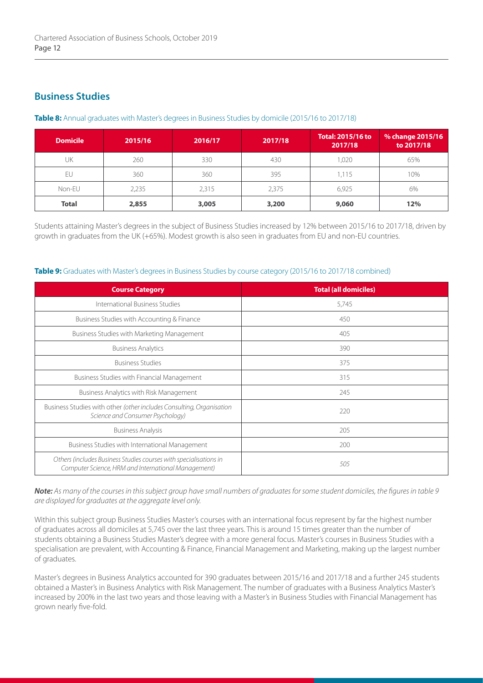## **Business Studies**

| <b>Domicile</b> | 2015/16 | 2016/17 | 2017/18 | <b>Total: 2015/16 to</b><br>2017/18 | % change 2015/16<br>to 2017/18 |
|-----------------|---------|---------|---------|-------------------------------------|--------------------------------|
| UK              | 260     | 330     | 430     | 020,                                | 65%                            |
| EU              | 360     | 360     | 395     | 1.115                               | 10%                            |
| Non-EU          | 2,235   | 2,315   | 2,375   | 6,925                               | 6%                             |
| <b>Total</b>    | 2,855   | 3,005   | 3,200   | 9,060                               | 12%                            |

**Table 8:** Annual graduates with Master's degrees in Business Studies by domicile (2015/16 to 2017/18)

Students attaining Master's degrees in the subject of Business Studies increased by 12% between 2015/16 to 2017/18, driven by growth in graduates from the UK (+65%). Modest growth is also seen in graduates from EU and non-EU countries.

### **Table 9:** Graduates with Master's degrees in Business Studies by course category (2015/16 to 2017/18 combined)

| <b>Course Category</b>                                                                                                   | <b>Total (all domiciles)</b> |
|--------------------------------------------------------------------------------------------------------------------------|------------------------------|
| International Business Studies                                                                                           | 5,745                        |
| Business Studies with Accounting & Finance                                                                               | 450                          |
| Business Studies with Marketing Management                                                                               | 405                          |
| <b>Business Analytics</b>                                                                                                | 390                          |
| <b>Business Studies</b>                                                                                                  | 375                          |
| <b>Business Studies with Financial Management</b>                                                                        | 315                          |
| Business Analytics with Risk Management                                                                                  | 245                          |
| Business Studies with other (other includes Consulting, Organisation<br>Science and Consumer Psychology)                 | 220                          |
| <b>Business Analysis</b>                                                                                                 | 205                          |
| Business Studies with International Management                                                                           | 200                          |
| Others (includes Business Studies courses with specialisations in<br>Computer Science, HRM and International Management) | 505                          |

*Note: As many of the courses in this subject group have small numbers of graduates for some student domiciles, the figures in table 9 are displayed for graduates at the aggregate level only.* 

Within this subject group Business Studies Master's courses with an international focus represent by far the highest number of graduates across all domiciles at 5,745 over the last three years. This is around 15 times greater than the number of students obtaining a Business Studies Master's degree with a more general focus. Master's courses in Business Studies with a specialisation are prevalent, with Accounting & Finance, Financial Management and Marketing, making up the largest number of graduates.

Master's degrees in Business Analytics accounted for 390 graduates between 2015/16 and 2017/18 and a further 245 students obtained a Master's in Business Analytics with Risk Management. The number of graduates with a Business Analytics Master's increased by 200% in the last two years and those leaving with a Master's in Business Studies with Financial Management has grown nearly five-fold.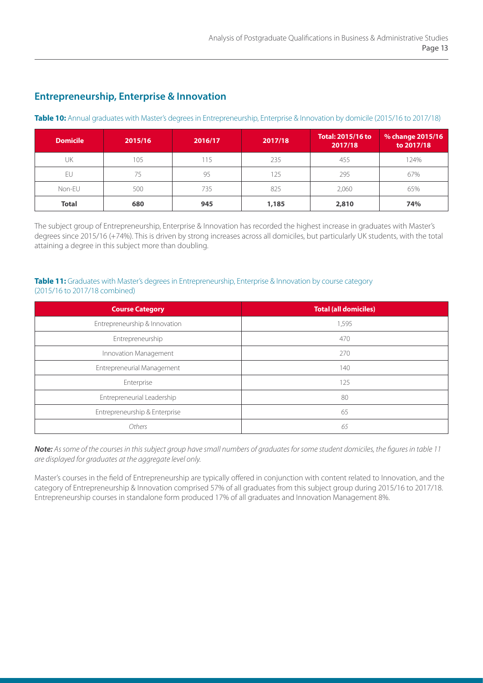## **Entrepreneurship, Enterprise & Innovation**

#### **Table 10:** Annual graduates with Master's degrees in Entrepreneurship, Enterprise & Innovation by domicile (2015/16 to 2017/18)

| <b>Domicile</b> | 2015/16 | 2016/17 | 2017/18 | <b>Total: 2015/16 to</b><br>2017/18 | % change 2015/16<br>to 2017/18 |
|-----------------|---------|---------|---------|-------------------------------------|--------------------------------|
| UK              | 105     | 115     | 235     | 455                                 | 124%                           |
| EU              | 75      | 95      | 125     | 295                                 | 67%                            |
| Non-EU          | 500     | 735     | 825     | 2,060                               | 65%                            |
| <b>Total</b>    | 680     | 945     | 1,185   | 2,810                               | 74%                            |

The subject group of Entrepreneurship, Enterprise & Innovation has recorded the highest increase in graduates with Master's degrees since 2015/16 (+74%). This is driven by strong increases across all domiciles, but particularly UK students, with the total attaining a degree in this subject more than doubling.

#### **Table 11:** Graduates with Master's degrees in Entrepreneurship, Enterprise & Innovation by course category (2015/16 to 2017/18 combined)

| <b>Course Category</b>        | <b>Total (all domiciles)</b> |  |  |
|-------------------------------|------------------------------|--|--|
| Entrepreneurship & Innovation | 1,595                        |  |  |
| Entrepreneurship              | 470                          |  |  |
| Innovation Management         | 270                          |  |  |
| Entrepreneurial Management    | 140                          |  |  |
| Enterprise                    | 125                          |  |  |
| Entrepreneurial Leadership    | 80                           |  |  |
| Entrepreneurship & Enterprise | 65                           |  |  |
| Others                        | 65                           |  |  |

*Note: As some of the courses in this subject group have small numbers of graduates for some student domiciles, the figures in table 11 are displayed for graduates at the aggregate level only.* 

Master's courses in the field of Entrepreneurship are typically offered in conjunction with content related to Innovation, and the category of Entrepreneurship & Innovation comprised 57% of all graduates from this subject group during 2015/16 to 2017/18. Entrepreneurship courses in standalone form produced 17% of all graduates and Innovation Management 8%.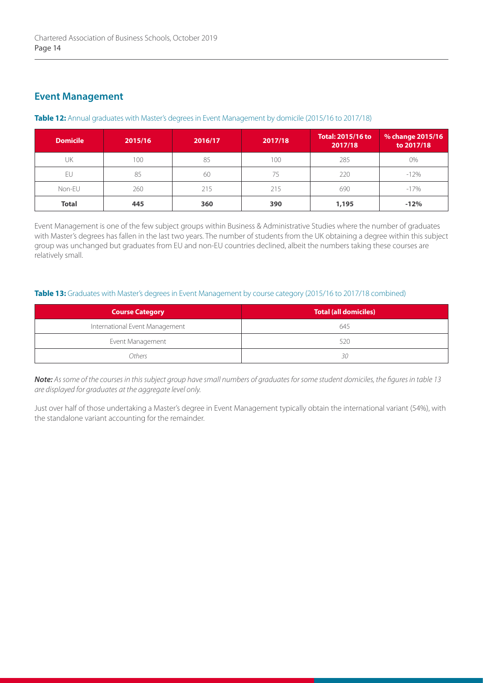## **Event Management**

#### **Table 12:** Annual graduates with Master's degrees in Event Management by domicile (2015/16 to 2017/18)

| <b>Domicile</b> | 2015/16 | 2016/17 | 2017/18 | <b>Total: 2015/16 to</b><br>2017/18 | % change 2015/16<br>to 2017/18 |
|-----------------|---------|---------|---------|-------------------------------------|--------------------------------|
| UK              | 100     | 85      | 100     | 285                                 | $0\%$                          |
| EU              | 85      | 60      | 75      | 220                                 | $-12%$                         |
| Non-EU          | 260     | 215     | 215     | 690                                 | $-17%$                         |
| <b>Total</b>    | 445     | 360     | 390     | 1,195                               | $-12%$                         |

Event Management is one of the few subject groups within Business & Administrative Studies where the number of graduates with Master's degrees has fallen in the last two years. The number of students from the UK obtaining a degree within this subject group was unchanged but graduates from EU and non-EU countries declined, albeit the numbers taking these courses are relatively small.

#### **Table 13:** Graduates with Master's degrees in Event Management by course category (2015/16 to 2017/18 combined)

| <b>Course Category</b>         | <b>Total (all domiciles)</b> |
|--------------------------------|------------------------------|
| International Event Management | 645                          |
| Event Management               | 520                          |
| Others                         | 30                           |

*Note: As some of the courses in this subject group have small numbers of graduates for some student domiciles, the figures in table 13 are displayed for graduates at the aggregate level only.* 

Just over half of those undertaking a Master's degree in Event Management typically obtain the international variant (54%), with the standalone variant accounting for the remainder.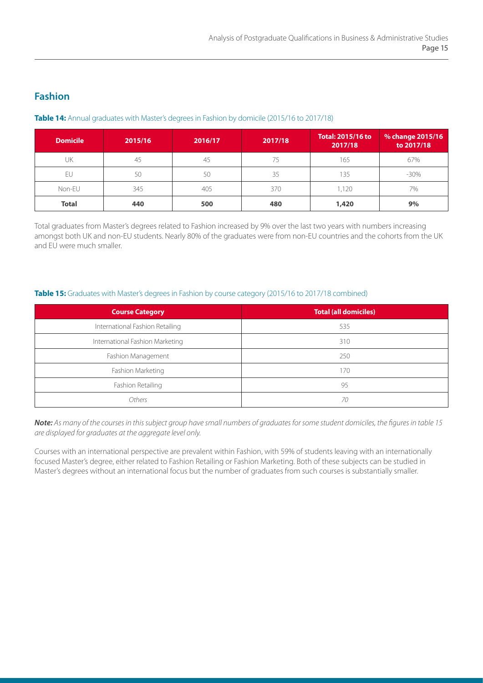## **Fashion**

#### **Table 14:** Annual graduates with Master's degrees in Fashion by domicile (2015/16 to 2017/18)

| <b>Domicile</b> | 2015/16 | 2016/17 | 2017/18 | <b>Total: 2015/16 to</b><br>2017/18 | % change 2015/16<br>to 2017/18 |
|-----------------|---------|---------|---------|-------------------------------------|--------------------------------|
| UK              | 45      | 45      | 75      | 165                                 | 67%                            |
| EU              | 50      | 50      | 35      | 135                                 | $-30\%$                        |
| Non-EU          | 345     | 405     | 370     | 1.120                               | 7%                             |
| <b>Total</b>    | 440     | 500     | 480     | 1,420                               | 9%                             |

Total graduates from Master's degrees related to Fashion increased by 9% over the last two years with numbers increasing amongst both UK and non-EU students. Nearly 80% of the graduates were from non-EU countries and the cohorts from the UK and EU were much smaller.

#### Table 15: Graduates with Master's degrees in Fashion by course category (2015/16 to 2017/18 combined)

| <b>Course Category</b>          | <b>Total (all domiciles)</b> |
|---------------------------------|------------------------------|
| International Fashion Retailing | 535                          |
| International Fashion Marketing | 310                          |
| Fashion Management              | 250                          |
| Fashion Marketing               | 170                          |
| Fashion Retailing               | 95                           |
| Others                          | 70                           |

*Note: As many of the courses in this subject group have small numbers of graduates for some student domiciles, the figures in table 15 are displayed for graduates at the aggregate level only.* 

Courses with an international perspective are prevalent within Fashion, with 59% of students leaving with an internationally focused Master's degree, either related to Fashion Retailing or Fashion Marketing. Both of these subjects can be studied in Master's degrees without an international focus but the number of graduates from such courses is substantially smaller.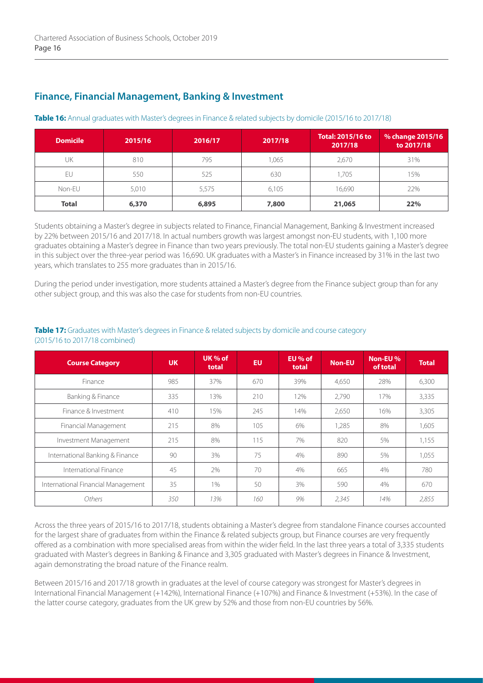## **Finance, Financial Management, Banking & Investment**

#### **Table 16:** Annual graduates with Master's degrees in Finance & related subjects by domicile (2015/16 to 2017/18)

| <b>Domicile</b> | 2015/16 | 2016/17 | 2017/18 | <b>Total: 2015/16 to</b><br>2017/18 | % change 2015/16<br>to 2017/18 |
|-----------------|---------|---------|---------|-------------------------------------|--------------------------------|
| UK              | 810     | 795     | ,065    | 2.670                               | 31%                            |
| EU              | 550     | 525     | 630     | 1.705                               | 15%                            |
| Non-EU          | 5,010   | 5,575   | 6,105   | 16,690                              | 22%                            |
| <b>Total</b>    | 6,370   | 6,895   | 7,800   | 21,065                              | 22%                            |

Students obtaining a Master's degree in subjects related to Finance, Financial Management, Banking & Investment increased by 22% between 2015/16 and 2017/18. In actual numbers growth was largest amongst non-EU students, with 1,100 more graduates obtaining a Master's degree in Finance than two years previously. The total non-EU students gaining a Master's degree in this subject over the three-year period was 16,690. UK graduates with a Master's in Finance increased by 31% in the last two years, which translates to 255 more graduates than in 2015/16.

During the period under investigation, more students attained a Master's degree from the Finance subject group than for any other subject group, and this was also the case for students from non-EU countries.

| <b>Course Category</b>             | <b>UK</b> | UK % of<br>total | <b>EU</b> | EU % of<br>total | <b>Non-EU</b> | Non-EU%<br>of total | <b>Total</b> |
|------------------------------------|-----------|------------------|-----------|------------------|---------------|---------------------|--------------|
| Finance                            | 985       | 37%              | 670       | 39%              | 4,650         | 28%                 | 6,300        |
| Banking & Finance                  | 335       | 13%              | 210       | 12%              | 2,790         | 17%                 | 3,335        |
| Finance & Investment               | 410       | 15%              | 245       | 14%              | 2,650         | 16%                 | 3,305        |
| Financial Management               | 215       | 8%               | 105       | 6%               | 1,285         | 8%                  | 1,605        |
| Investment Management              | 215       | 8%               | 115       | 7%               | 820           | 5%                  | 1,155        |
| International Banking & Finance    | 90        | 3%               | 75        | 4%               | 890           | 5%                  | 1,055        |
| International Finance              | 45        | 2%               | 70        | 4%               | 665           | 4%                  | 780          |
| International Financial Management | 35        | 1%               | 50        | 3%               | 590           | 4%                  | 670          |
| Others                             | 350       | 13%              | 160       | 9%               | 2,345         | 14%                 | 2,855        |

#### **Table 17:** Graduates with Master's degrees in Finance & related subjects by domicile and course category (2015/16 to 2017/18 combined)

Across the three years of 2015/16 to 2017/18, students obtaining a Master's degree from standalone Finance courses accounted for the largest share of graduates from within the Finance & related subjects group, but Finance courses are very frequently offered as a combination with more specialised areas from within the wider field. In the last three years a total of 3,335 students graduated with Master's degrees in Banking & Finance and 3,305 graduated with Master's degrees in Finance & Investment, again demonstrating the broad nature of the Finance realm.

Between 2015/16 and 2017/18 growth in graduates at the level of course category was strongest for Master's degrees in International Financial Management (+142%), International Finance (+107%) and Finance & Investment (+53%). In the case of the latter course category, graduates from the UK grew by 52% and those from non-EU countries by 56%.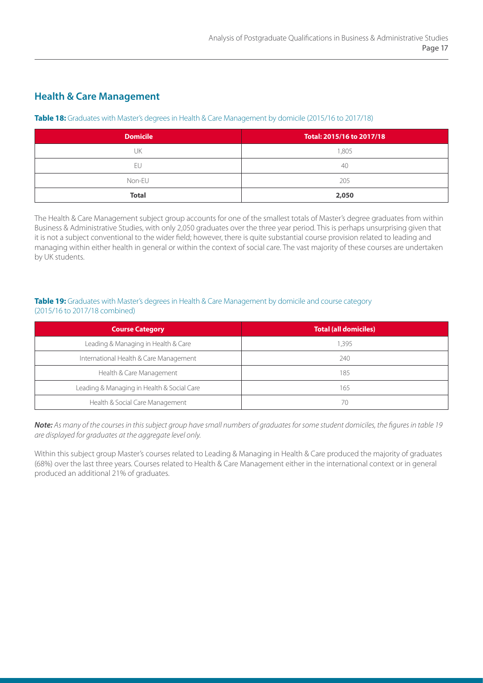## **Health & Care Management**

#### **Table 18:** Graduates with Master's degrees in Health & Care Management by domicile (2015/16 to 2017/18)

| <b>Domicile</b> | Total: 2015/16 to 2017/18 |
|-----------------|---------------------------|
| JK              | 1,805                     |
| ЕU              | -40                       |
| Non-EU          | 205                       |
| <b>Total</b>    | 2,050                     |

The Health & Care Management subject group accounts for one of the smallest totals of Master's degree graduates from within Business & Administrative Studies, with only 2,050 graduates over the three year period. This is perhaps unsurprising given that it is not a subject conventional to the wider field; however, there is quite substantial course provision related to leading and managing within either health in general or within the context of social care. The vast majority of these courses are undertaken by UK students.

#### **Table 19:** Graduates with Master's degrees in Health & Care Management by domicile and course category (2015/16 to 2017/18 combined)

| <b>Course Category</b>                     | <b>Total (all domiciles)</b> |
|--------------------------------------------|------------------------------|
| Leading & Managing in Health & Care        | 1,395                        |
| International Health & Care Management     | 240                          |
| Health & Care Management                   | 185                          |
| Leading & Managing in Health & Social Care | 165                          |
| Health & Social Care Management            | 70                           |

*Note: As many of the courses in this subject group have small numbers of graduates for some student domiciles, the figures in table 19 are displayed for graduates at the aggregate level only.* 

Within this subject group Master's courses related to Leading & Managing in Health & Care produced the majority of graduates (68%) over the last three years. Courses related to Health & Care Management either in the international context or in general produced an additional 21% of graduates.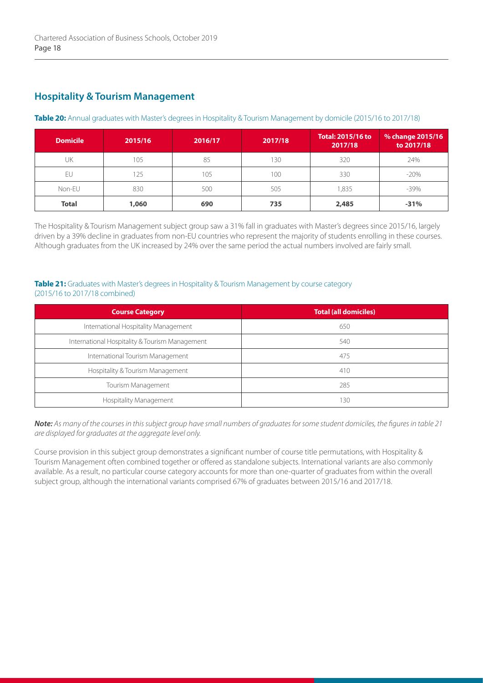## **Hospitality & Tourism Management**

#### **Table 20:** Annual graduates with Master's degrees in Hospitality & Tourism Management by domicile (2015/16 to 2017/18)

| <b>Domicile</b> | 2015/16 | 2016/17 | 2017/18 | Total: 2015/16 to<br>2017/18 | % change 2015/16<br>to 2017/18 |
|-----------------|---------|---------|---------|------------------------------|--------------------------------|
| UK              | 105     | 85      | 130     | 320                          | 24%                            |
| EU              | 25      | 105     | 100     | 330                          | $-20%$                         |
| Non-EU          | 830     | 500     | 505     | 1,835                        | $-39\%$                        |
| <b>Total</b>    | 1,060   | 690     | 735     | 2,485                        | $-31%$                         |

The Hospitality & Tourism Management subject group saw a 31% fall in graduates with Master's degrees since 2015/16, largely driven by a 39% decline in graduates from non-EU countries who represent the majority of students enrolling in these courses. Although graduates from the UK increased by 24% over the same period the actual numbers involved are fairly small.

#### **Table 21:** Graduates with Master's degrees in Hospitality & Tourism Management by course category (2015/16 to 2017/18 combined)

| <b>Course Category</b>                         | <b>Total (all domiciles)</b> |
|------------------------------------------------|------------------------------|
| International Hospitality Management           | 650                          |
| International Hospitality & Tourism Management | 540                          |
| International Tourism Management               | 475                          |
| Hospitality & Tourism Management               | 410                          |
| Tourism Management                             | 285                          |
| <b>Hospitality Management</b>                  | 130                          |

*Note: As many of the courses in this subject group have small numbers of graduates for some student domiciles, the figures in table 21 are displayed for graduates at the aggregate level only.* 

Course provision in this subject group demonstrates a significant number of course title permutations, with Hospitality & Tourism Management often combined together or offered as standalone subjects. International variants are also commonly available. As a result, no particular course category accounts for more than one-quarter of graduates from within the overall subject group, although the international variants comprised 67% of graduates between 2015/16 and 2017/18.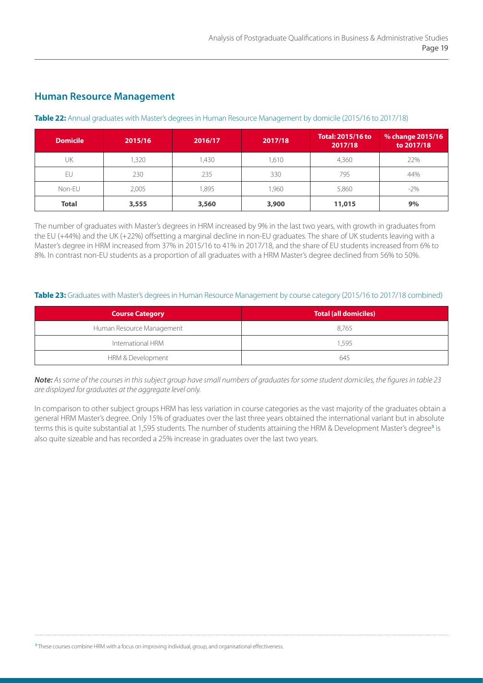## **Human Resource Management**

#### **Table 22:** Annual graduates with Master's degrees in Human Resource Management by domicile (2015/16 to 2017/18)

| <b>Domicile</b> | 2015/16 | 2016/17 | 2017/18 | <b>Total: 2015/16 to</b><br>2017/18 | % change 2015/16<br>to 2017/18 |
|-----------------|---------|---------|---------|-------------------------------------|--------------------------------|
| UK              | ,320    | ,430    | ,610    | 4,360                               | 22%                            |
| EU              | 230     | 235     | 330     | 795                                 | 44%                            |
| Non-EU          | 2,005   | ,895    | ,960    | 5,860                               | $-2\%$                         |
| <b>Total</b>    | 3,555   | 3,560   | 3,900   | 11,015                              | 9%                             |

The number of graduates with Master's degrees in HRM increased by 9% in the last two years, with growth in graduates from the EU (+44%) and the UK (+22%) offsetting a marginal decline in non-EU graduates. The share of UK students leaving with a Master's degree in HRM increased from 37% in 2015/16 to 41% in 2017/18, and the share of EU students increased from 6% to 8%. In contrast non-EU students as a proportion of all graduates with a HRM Master's degree declined from 56% to 50%.

#### **Table 23:** Graduates with Master's degrees in Human Resource Management by course category (2015/16 to 2017/18 combined)

| <b>Course Category</b>    | <b>Total (all domiciles)</b> |
|---------------------------|------------------------------|
| Human Resource Management | 8.765                        |
| International HRM         | 1.595                        |
| HRM & Development         | 645                          |

*Note: As some of the courses in this subject group have small numbers of graduates for some student domiciles, the figures in table 23 are displayed for graduates at the aggregate level only.* 

In comparison to other subject groups HRM has less variation in course categories as the vast majority of the graduates obtain a general HRM Master's degree. Only 15% of graduates over the last three years obtained the international variant but in absolute terms this is quite substantial at 1,595 students. The number of students attaining the HRM & Development Master's degree**<sup>5</sup>** is also quite sizeable and has recorded a 25% increase in graduates over the last two years.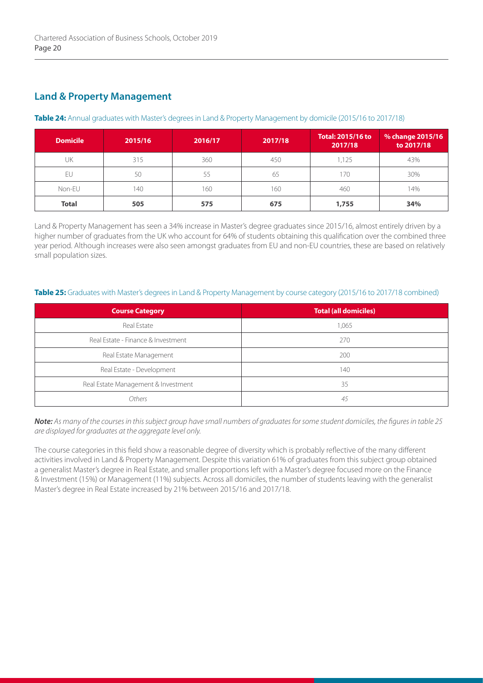## **Land & Property Management**

#### **Table 24:** Annual graduates with Master's degrees in Land & Property Management by domicile (2015/16 to 2017/18)

| <b>Domicile</b> | 2015/16 | 2016/17 | 2017/18 | Total: 2015/16 to<br>2017/18 | % change 2015/16<br>to 2017/18 |
|-----------------|---------|---------|---------|------------------------------|--------------------------------|
| UK              | 315     | 360     | 450     | 1.125                        | 43%                            |
| EU              | 50      | 55      | 65      | 170                          | 30%                            |
| Non-EU          | 140     | 160     | 160     | 460                          | 14%                            |
| <b>Total</b>    | 505     | 575     | 675     | 1,755                        | 34%                            |

Land & Property Management has seen a 34% increase in Master's degree graduates since 2015/16, almost entirely driven by a higher number of graduates from the UK who account for 64% of students obtaining this qualification over the combined three year period. Although increases were also seen amongst graduates from EU and non-EU countries, these are based on relatively small population sizes.

#### Table 25: Graduates with Master's degrees in Land & Property Management by course category (2015/16 to 2017/18 combined)

| <b>Course Category</b>              | <b>Total (all domiciles)</b> |
|-------------------------------------|------------------------------|
| Real Estate                         | 1,065                        |
| Real Estate - Finance & Investment  | 270                          |
| Real Estate Management              | 200                          |
| Real Estate - Development           | 140                          |
| Real Estate Management & Investment | 35                           |
| Others                              | 45                           |

*Note: As many of the courses in this subject group have small numbers of graduates for some student domiciles, the figures in table 25 are displayed for graduates at the aggregate level only.* 

The course categories in this field show a reasonable degree of diversity which is probably reflective of the many different activities involved in Land & Property Management. Despite this variation 61% of graduates from this subject group obtained a generalist Master's degree in Real Estate, and smaller proportions left with a Master's degree focused more on the Finance & Investment (15%) or Management (11%) subjects. Across all domiciles, the number of students leaving with the generalist Master's degree in Real Estate increased by 21% between 2015/16 and 2017/18.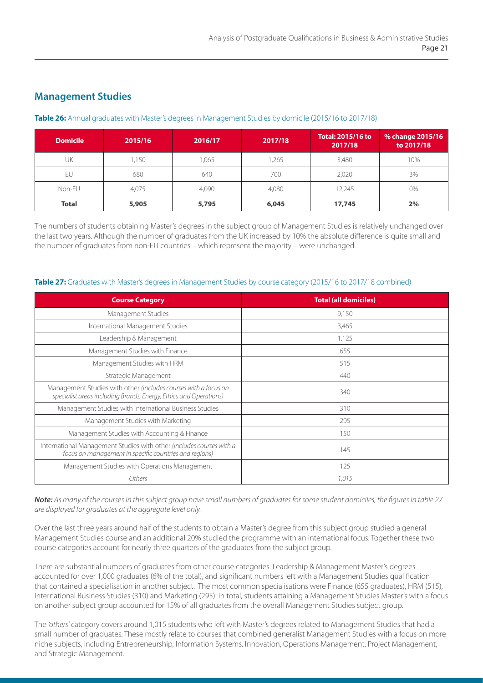## **Management Studies**

#### **Table 26:** Annual graduates with Master's degrees in Management Studies by domicile (2015/16 to 2017/18)

| <b>Domicile</b> | 2015/16 | 2016/17 | 2017/18 | <b>Total: 2015/16 to</b><br>2017/18 | % change 2015/16<br>to 2017/18 |
|-----------------|---------|---------|---------|-------------------------------------|--------------------------------|
| UK              | ,150    | 1,065   | ,265    | 3,480                               | 10%                            |
| FU              | 680     | 640     | 700     | 2.020                               | 3%                             |
| Non-EU          | 4,075   | 4,090   | 4,080   | 2,245                               | 0%                             |
| <b>Total</b>    | 5,905   | 5,795   | 6,045   | 17,745                              | 2%                             |

The numbers of students obtaining Master's degrees in the subject group of Management Studies is relatively unchanged over the last two years. Although the number of graduates from the UK increased by 10% the absolute difference is quite small and the number of graduates from non-EU countries – which represent the majority – were unchanged.

#### **Table 27:** Graduates with Master's degrees in Management Studies by course category (2015/16 to 2017/18 combined)

| <b>Course Category</b>                                                                                                               | <b>Total (all domiciles)</b> |
|--------------------------------------------------------------------------------------------------------------------------------------|------------------------------|
| Management Studies                                                                                                                   | 9,150                        |
| International Management Studies                                                                                                     | 3,465                        |
| Leadership & Management                                                                                                              | 1,125                        |
| Management Studies with Finance                                                                                                      | 655                          |
| Management Studies with HRM                                                                                                          | 515                          |
| Strategic Management                                                                                                                 | 440                          |
| Management Studies with other (includes courses with a focus on<br>specialist areas including Brands, Energy, Ethics and Operations) | 340                          |
| Management Studies with International Business Studies                                                                               | 310                          |
| Management Studies with Marketing                                                                                                    | 295                          |
| Management Studies with Accounting & Finance                                                                                         | 150                          |
| International Management Studies with other (includes courses with a<br>focus on management in specific countries and regions)       | 145                          |
| Management Studies with Operations Management                                                                                        | 125                          |
| Others                                                                                                                               | 1,015                        |

*Note: As many of the courses in this subject group have small numbers of graduates for some student domiciles, the figures in table 27 are displayed for graduates at the aggregate level only.* 

Over the last three years around half of the students to obtain a Master's degree from this subject group studied a general Management Studies course and an additional 20% studied the programme with an international focus. Together these two course categories account for nearly three quarters of the graduates from the subject group.

There are substantial numbers of graduates from other course categories. Leadership & Management Master's degrees accounted for over 1,000 graduates (6% of the total), and significant numbers left with a Management Studies qualification that contained a specialisation in another subject. The most common specialisations were Finance (655 graduates), HRM (515), International Business Studies (310) and Marketing (295). In total, students attaining a Management Studies Master's with a focus on another subject group accounted for 15% of all graduates from the overall Management Studies subject group.

The *'others'* category covers around 1,015 students who left with Master's degrees related to Management Studies that had a small number of graduates. These mostly relate to courses that combined generalist Management Studies with a focus on more niche subjects, including Entrepreneurship, Information Systems, Innovation, Operations Management, Project Management, and Strategic Management.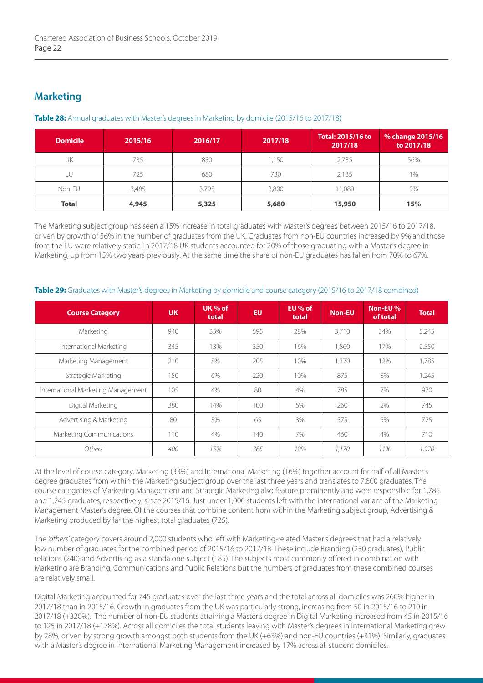## **Marketing**

| <b>Domicile</b> | 2015/16 | 2016/17 | 2017/18 | <b>Total: 2015/16 to</b><br>2017/18 | % change 2015/16<br>to 2017/18 |
|-----------------|---------|---------|---------|-------------------------------------|--------------------------------|
| UK              | 735     | 850     | ,150    | 2,735                               | 56%                            |
| EU              | 725     | 680     | 730     | 2,135                               | 1%                             |
| Non-EU          | 3,485   | 3.795   | 3,800   | 1,080                               | 9%                             |
| <b>Total</b>    | 4,945   | 5,325   | 5,680   | 15,950                              | 15%                            |

#### **Table 28:** Annual graduates with Master's degrees in Marketing by domicile (2015/16 to 2017/18)

The Marketing subject group has seen a 15% increase in total graduates with Master's degrees between 2015/16 to 2017/18, driven by growth of 56% in the number of graduates from the UK. Graduates from non-EU countries increased by 9% and those from the EU were relatively static. In 2017/18 UK students accounted for 20% of those graduating with a Master's degree in Marketing, up from 15% two years previously. At the same time the share of non-EU graduates has fallen from 70% to 67%.

| <b>Course Category</b>             | <b>UK</b> | UK $%$ of<br>total | <b>EU</b> | EU % of<br>total | <b>Non-EU</b> | Non-EU%<br>of total | Total. |
|------------------------------------|-----------|--------------------|-----------|------------------|---------------|---------------------|--------|
| Marketing                          | 940       | 35%                | 595       | 28%              | 3.710         | 34%                 | 5,245  |
| International Marketing            | 345       | 13%                | 350       | 16%              | 1,860         | 17%                 | 2,550  |
| Marketing Management               | 210       | 8%                 | 205       | 10%              | 1,370         | 12%                 | 1,785  |
| Strategic Marketing                | 150       | 6%                 | 220       | 10%              | 875           | 8%                  | 1,245  |
| International Marketing Management | 105       | 4%                 | 80        | 4%               | 785           | 7%                  | 970    |
| Digital Marketing                  | 380       | 14%                | 100       | 5%               | 260           | 2%                  | 745    |
| Advertising & Marketing            | 80        | 3%                 | 65        | 3%               | 575           | 5%                  | 725    |
| <b>Marketing Communications</b>    | 110       | 4%                 | 140       | 7%               | 460           | 4%                  | 710    |
| Others                             | 400       | 15%                | 385       | 18%              | 1.170         | 11%                 | 1.970  |

#### **Table 29:** Graduates with Master's degrees in Marketing by domicile and course category (2015/16 to 2017/18 combined)

At the level of course category, Marketing (33%) and International Marketing (16%) together account for half of all Master's degree graduates from within the Marketing subject group over the last three years and translates to 7,800 graduates. The course categories of Marketing Management and Strategic Marketing also feature prominently and were responsible for 1,785 and 1,245 graduates, respectively, since 2015/16. Just under 1,000 students left with the international variant of the Marketing Management Master's degree. Of the courses that combine content from within the Marketing subject group, Advertising & Marketing produced by far the highest total graduates (725).

The *'others'* category covers around 2,000 students who left with Marketing-related Master's degrees that had a relatively low number of graduates for the combined period of 2015/16 to 2017/18. These include Branding (250 graduates), Public relations (240) and Advertising as a standalone subject (185). The subjects most commonly offered in combination with Marketing are Branding, Communications and Public Relations but the numbers of graduates from these combined courses are relatively small.

Digital Marketing accounted for 745 graduates over the last three years and the total across all domiciles was 260% higher in 2017/18 than in 2015/16. Growth in graduates from the UK was particularly strong, increasing from 50 in 2015/16 to 210 in 2017/18 (+320%). The number of non-EU students attaining a Master's degree in Digital Marketing increased from 45 in 2015/16 to 125 in 2017/18 (+178%). Across all domiciles the total students leaving with Master's degrees in International Marketing grew by 28%, driven by strong growth amongst both students from the UK (+63%) and non-EU countries (+31%). Similarly, graduates with a Master's degree in International Marketing Management increased by 17% across all student domiciles.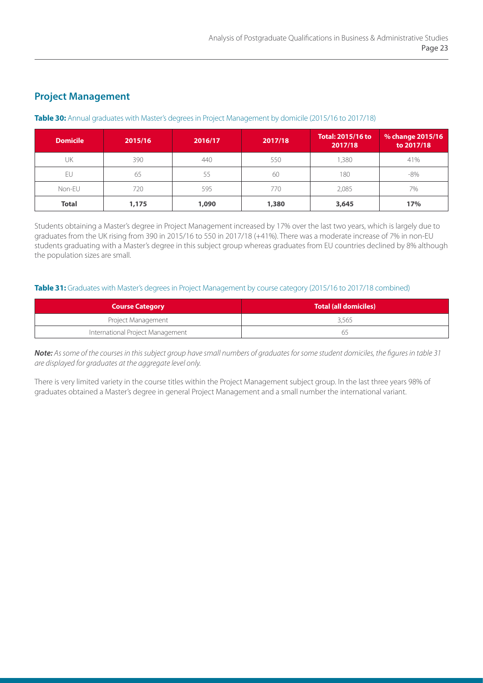## **Project Management**

#### **Table 30:** Annual graduates with Master's degrees in Project Management by domicile (2015/16 to 2017/18)

| <b>Domicile</b> | 2015/16 | 2016/17 | 2017/18 | <b>Total: 2015/16 to</b><br>2017/18 | % change 2015/16<br>to 2017/18 |
|-----------------|---------|---------|---------|-------------------------------------|--------------------------------|
| UK              | 390     | 440     | 550     | 1,380                               | 41%                            |
| EU              | 65      | 55      | 60      | 180                                 | $-8\%$                         |
| Non-EU          | 720     | 595     | 770     | 2,085                               | 7%                             |
| <b>Total</b>    | 1,175   | 1,090   | 1,380   | 3,645                               | 17%                            |

Students obtaining a Master's degree in Project Management increased by 17% over the last two years, which is largely due to graduates from the UK rising from 390 in 2015/16 to 550 in 2017/18 (+41%). There was a moderate increase of 7% in non-EU students graduating with a Master's degree in this subject group whereas graduates from EU countries declined by 8% although the population sizes are small.

#### Table 31: Graduates with Master's degrees in Project Management by course category (2015/16 to 2017/18 combined)

| <b>Course Category</b>           | Total (all domiciles) |
|----------------------------------|-----------------------|
| Project Management               | 3,565                 |
| International Project Management | 65                    |

*Note: As some of the courses in this subject group have small numbers of graduates for some student domiciles, the figures in table 31 are displayed for graduates at the aggregate level only.* 

There is very limited variety in the course titles within the Project Management subject group. In the last three years 98% of graduates obtained a Master's degree in general Project Management and a small number the international variant.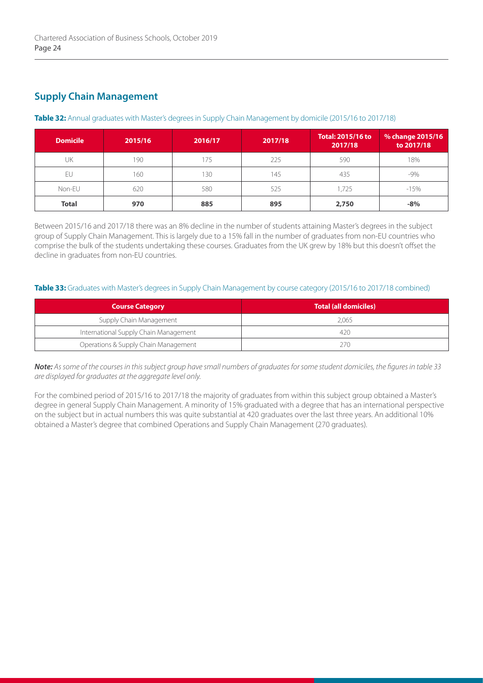# **Supply Chain Management**

#### **Table 32:** Annual graduates with Master's degrees in Supply Chain Management by domicile (2015/16 to 2017/18)

| <b>Domicile</b> | 2015/16 | 2016/17 | 2017/18 | <b>Total: 2015/16 to</b><br>2017/18 | % change 2015/16<br>to 2017/18 |
|-----------------|---------|---------|---------|-------------------------------------|--------------------------------|
| UK              | 190     | 75      | 225     | 590                                 | 18%                            |
| EU              | 160     | 30      | 145     | 435                                 | $-9%$                          |
| Non-EU          | 620     | 580     | 525     | 1,725                               | $-15%$                         |
| <b>Total</b>    | 970     | 885     | 895     | 2,750                               | $-8%$                          |

Between 2015/16 and 2017/18 there was an 8% decline in the number of students attaining Master's degrees in the subject group of Supply Chain Management. This is largely due to a 15% fall in the number of graduates from non-EU countries who comprise the bulk of the students undertaking these courses. Graduates from the UK grew by 18% but this doesn't offset the decline in graduates from non-EU countries.

#### **Table 33:** Graduates with Master's degrees in Supply Chain Management by course category (2015/16 to 2017/18 combined)

| <b>Course Category</b>                | Total (all domiciles) |
|---------------------------------------|-----------------------|
| Supply Chain Management               | 2.065                 |
| International Supply Chain Management | 420                   |
| Operations & Supply Chain Management  | 270                   |

*Note: As some of the courses in this subject group have small numbers of graduates for some student domiciles, the figures in table 33 are displayed for graduates at the aggregate level only.* 

For the combined period of 2015/16 to 2017/18 the majority of graduates from within this subject group obtained a Master's degree in general Supply Chain Management. A minority of 15% graduated with a degree that has an international perspective on the subject but in actual numbers this was quite substantial at 420 graduates over the last three years. An additional 10% obtained a Master's degree that combined Operations and Supply Chain Management (270 graduates).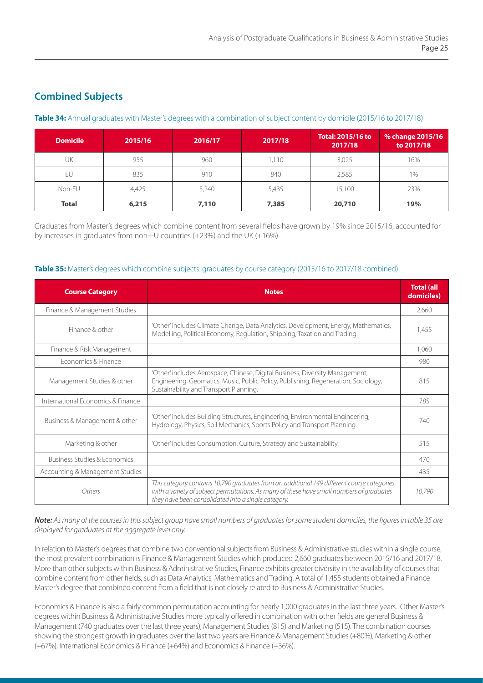# **Combined Subjects**

#### **Table 34:** Annual graduates with Master's degrees with a combination of subject content by domicile (2015/16 to 2017/18)

| <b>Domicile</b> | 2015/16 | 2016/17 | 2017/18 | <b>Total: 2015/16 to</b><br>2017/18 | % change 2015/16<br>to 2017/18 |
|-----------------|---------|---------|---------|-------------------------------------|--------------------------------|
| UK              | 955     | 960     | ,110    | 3,025                               | 16%                            |
| FU              | 835     | 910     | 840     | 2,585                               | 1%                             |
| Non-EU          | 4.425   | 5,240   | 5,435   | 15,100                              | 23%                            |
| <b>Total</b>    | 6,215   | 7,110   | 7,385   | 20,710                              | 19%                            |

Graduates from Master's degrees which combine content from several fields have grown by 19% since 2015/16, accounted for by increases in graduates from non-EU countries (+23%) and the UK (+16%).

#### **Table 35:** Master's degrees which combine subjects: graduates by course category (2015/16 to 2017/18 combined)

| <b>Course Category</b>                  | <b>Notes</b>                                                                                                                                                                                                                                  |        |
|-----------------------------------------|-----------------------------------------------------------------------------------------------------------------------------------------------------------------------------------------------------------------------------------------------|--------|
| Finance & Management Studies            |                                                                                                                                                                                                                                               | 2,660  |
| Finance & other                         | 'Other' includes Climate Change, Data Analytics, Development, Energy, Mathematics,<br>Modelling, Political Economy, Regulation, Shipping, Taxation and Trading.                                                                               |        |
| Finance & Risk Management               |                                                                                                                                                                                                                                               | 1,060  |
| Fconomics & Finance                     |                                                                                                                                                                                                                                               | 980    |
| Management Studies & other              | 'Other' includes Aerospace, Chinese, Digital Business, Diversity Management,<br>Engineering, Geomatics, Music, Public Policy, Publishing, Regeneration, Sociology,<br>Sustainability and Transport Planning.                                  | 815    |
| International Economics & Finance       |                                                                                                                                                                                                                                               | 785    |
| Business & Management & other           | 'Other' includes Building Structures, Engineering, Environmental Engineering,<br>Hydrology, Physics, Soil Mechanics, Sports Policy and Transport Planning.                                                                                    | 740    |
| Marketing & other                       | 'Other' includes Consumption, Culture, Strategy and Sustainability.                                                                                                                                                                           | 515    |
| <b>Business Studies &amp; Economics</b> |                                                                                                                                                                                                                                               | 470    |
| Accounting & Management Studies         |                                                                                                                                                                                                                                               | 435    |
| Others                                  | This category contains 10,790 graduates from an additional 149 different course categories<br>with a variety of subject permutations. As many of these have small numbers of graduates<br>they have been consolidated into a single category. | 10,790 |

*Note: As many of the courses in this subject group have small numbers of graduates for some student domiciles, the figures in table 35 are displayed for graduates at the aggregate level only.* 

In relation to Master's degrees that combine two conventional subjects from Business & Administrative studies within a single course, the most prevalent combination is Finance & Management Studies which produced 2,660 graduates between 2015/16 and 2017/18. More than other subjects within Business & Administrative Studies, Finance exhibits greater diversity in the availability of courses that combine content from other fields, such as Data Analytics, Mathematics and Trading. A total of 1,455 students obtained a Finance Master's degree that combined content from a field that is not closely related to Business & Administrative Studies.

Economics & Finance is also a fairly common permutation accounting for nearly 1,000 graduates in the last three years. Other Master's degrees within Business & Administrative Studies more typically offered in combination with other fields are general Business & Management (740 graduates over the last three years), Management Studies (815) and Marketing (515). The combination courses showing the strongest growth in graduates over the last two years are Finance & Management Studies (+80%), Marketing & other (+67%), International Economics & Finance (+64%) and Economics & Finance (+36%).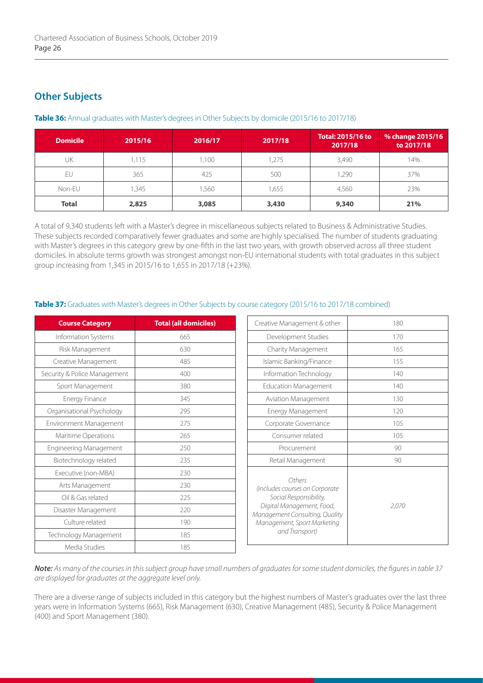## **Other Subjects**

| <b>Domicile</b> | 2015/16 | 2016/17 | 2017/18 | <b>Total: 2015/16 to</b><br>2017/18 | $\%$ change 2015/16<br>to 2017/18 |
|-----------------|---------|---------|---------|-------------------------------------|-----------------------------------|
| UK              | 1,115   | ,100    | ,275    | 3,490                               | 14%                               |
| EU              | 365     | 425     | 500     | 1.290                               | 37%                               |
| Non-EU          | 1,345   | ,560    | ,655    | 4.560                               | 23%                               |
| <b>Total</b>    | 2,825   | 3,085   | 3,430   | 9,340                               | 21%                               |

#### **Table 36:** Annual graduates with Master's degrees in Other Subjects by domicile (2015/16 to 2017/18)

A total of 9,340 students left with a Master's degree in miscellaneous subjects related to Business & Administrative Studies. These subjects recorded comparatively fewer graduates and some are highly specialised. The number of students graduating with Master's degrees in this category grew by one-fifth in the last two years, with growth observed across all three student domiciles. In absolute terms growth was strongest amongst non-EU international students with total graduates in this subject group increasing from 1,345 in 2015/16 to 1,655 in 2017/18 (+23%).

### Table 37: Graduates with Master's degrees in Other Subjects by course category (2015/16 to 2017/18 combined)

| <b>Course Category</b>        | <b>Total (all domiciles)</b> |
|-------------------------------|------------------------------|
| Information Systems           | 665                          |
| Risk Management               | 630                          |
| Creative Management           | 485                          |
| Security & Police Management  | 400                          |
| Sport Management              | 380                          |
| <b>Energy Finance</b>         | 345                          |
| Organisational Psychology     | 295                          |
| <b>Environment Management</b> | 275                          |
| Maritime Operations           | 265                          |
| <b>Engineering Management</b> | 250                          |
| Biotechnology related         | 235                          |
| Executive (non-MBA)           | 230                          |
| Arts Management               | 230                          |
| Oil & Gas related             | 225                          |
| Disaster Management           | 220                          |
| Culture related               | 190                          |
| Technology Management         | 185                          |
| Media Studies                 | 185                          |

| Creative Management & other                                                                                                                                                        | 180   |
|------------------------------------------------------------------------------------------------------------------------------------------------------------------------------------|-------|
| Development Studies                                                                                                                                                                | 170   |
| Charity Management                                                                                                                                                                 | 165   |
| Islamic Banking/Finance                                                                                                                                                            | 155   |
| Information Technology                                                                                                                                                             | 140   |
| <b>Education Management</b>                                                                                                                                                        | 140   |
| <b>Aviation Management</b>                                                                                                                                                         | 130   |
| <b>Energy Management</b>                                                                                                                                                           | 120   |
| Corporate Governance                                                                                                                                                               | 105   |
| Consumer related                                                                                                                                                                   | 105   |
| Procurement                                                                                                                                                                        | 90    |
| Retail Management                                                                                                                                                                  | 90    |
| Others<br>(includes courses on Corporate<br>Social Responsibility,<br>Digital Management, Food,<br>Management Consulting, Quality<br>Management, Sport Marketing<br>and Transport) | 2.070 |

*Note: As many of the courses in this subject group have small numbers of graduates for some student domiciles, the figures in table 37 are displayed for graduates at the aggregate level only.*

There are a diverse range of subjects included in this category but the highest numbers of Master's graduates over the last three years were in Information Systems (665), Risk Management (630), Creative Management (485), Security & Police Management (400) and Sport Management (380).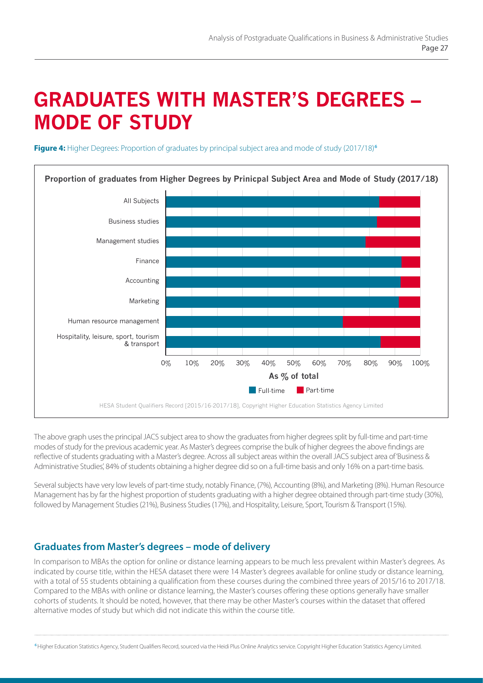# **GRADUATES WITH MASTER'S DEGREES – MODE OF STUDY**

**Figure 4:** Higher Degrees: Proportion of graduates by principal subject area and mode of study (2017/18)<sup>6</sup>



The above graph uses the principal JACS subject area to show the graduates from higher degrees split by full-time and part-time modes of study for the previous academic year. As Master's degrees comprise the bulk of higher degrees the above findings are reflective of students graduating with a Master's degree. Across all subject areas within the overall JACS subject area of 'Business & Administrative Studies', 84% of students obtaining a higher degree did so on a full-time basis and only 16% on a part-time basis.

Several subjects have very low levels of part-time study, notably Finance, (7%), Accounting (8%), and Marketing (8%). Human Resource Management has by far the highest proportion of students graduating with a higher degree obtained through part-time study (30%), followed by Management Studies (21%), Business Studies (17%), and Hospitality, Leisure, Sport, Tourism & Transport (15%).

## **Graduates from Master's degrees – mode of delivery**

In comparison to MBAs the option for online or distance learning appears to be much less prevalent within Master's degrees. As indicated by course title, within the HESA dataset there were 14 Master's degrees available for online study or distance learning, with a total of 55 students obtaining a qualification from these courses during the combined three years of 2015/16 to 2017/18. Compared to the MBAs with online or distance learning, the Master's courses offering these options generally have smaller cohorts of students. It should be noted, however, that there may be other Master's courses within the dataset that offered alternative modes of study but which did not indicate this within the course title.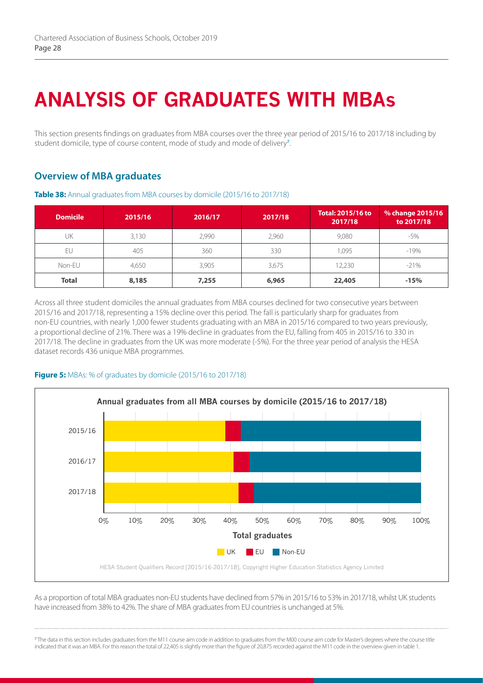# **ANALYSIS OF GRADUATES WITH MBAs**

This section presents findings on graduates from MBA courses over the three year period of 2015/16 to 2017/18 including by student domicile, type of course content, mode of study and mode of delivery**<sup>7</sup>** .

## **Overview of MBA graduates**

| <b>Domicile</b> | 2015/16 | 2016/17 | 2017/18 | <b>Total: 2015/16 to</b><br>2017/18 | % change 2015/16<br>to 2017/18 |
|-----------------|---------|---------|---------|-------------------------------------|--------------------------------|
| UK              | 3,130   | 2,990   | 2,960   | 9,080                               | $-5%$                          |
| EU              | 405     | 360     | 330     | 1,095                               | $-19%$                         |
| Non-EU          | 4.650   | 3,905   | 3,675   | 12,230                              | $-21%$                         |
| <b>Total</b>    | 8,185   | 7,255   | 6,965   | 22,405                              | $-15%$                         |

**Table 38:** Annual graduates from MBA courses by domicile (2015/16 to 2017/18)

Across all three student domiciles the annual graduates from MBA courses declined for two consecutive years between 2015/16 and 2017/18, representing a 15% decline over this period. The fall is particularly sharp for graduates from non-EU countries, with nearly 1,000 fewer students graduating with an MBA in 2015/16 compared to two years previously, a proportional decline of 21%. There was a 19% decline in graduates from the EU, falling from 405 in 2015/16 to 330 in 2017/18. The decline in graduates from the UK was more moderate (-5%). For the three year period of analysis the HESA dataset records 436 unique MBA programmes.

### **Figure 5:** MBAs: % of graduates by domicile (2015/16 to 2017/18)



As a proportion of total MBA graduates non-EU students have declined from 57% in 2015/16 to 53% in 2017/18, whilst UK students have increased from 38% to 42%. The share of MBA graduates from EU countries is unchanged at 5%.

**<sup>7</sup>**The data in this section includes graduates from the M11 course aim code in addition to graduates from the M00 course aim code for Master's degrees where the course title indicated that it was an MBA. For this reason the total of 22.405 is slightly more than the figure of 20.875 recorded against the M11 code in the overview given in table 1.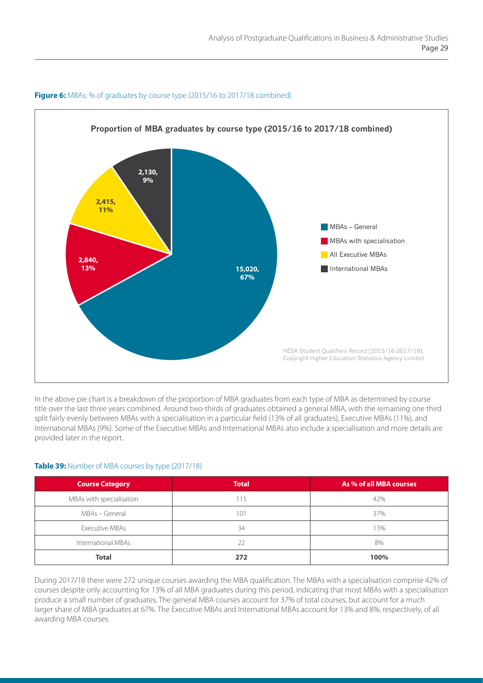

#### **Figure 6:** MBAs: % of graduates by course type (2015/16 to 2017/18 combined)

In the above pie chart is a breakdown of the proportion of MBA graduates from each type of MBA as determined by course title over the last three years combined. Around two-thirds of graduates obtained a general MBA, with the remaining one third split fairly evenly between MBAs with a specialisation in a particular field (13% of all graduates), Executive MBAs (11%), and International MBAs (9%). Some of the Executive MBAs and International MBAs also include a specialisation and more details are provided later in the report.

#### **Table 39:** Number of MBA courses by type (2017/18)

| <b>Course Category</b>   | <b>Total</b> | As % of all MBA courses |
|--------------------------|--------------|-------------------------|
| MBAs with specialisation | 115          | 42%                     |
| MBAs - General           | 101          | 37%                     |
| Executive MBAs           | 34           | 13%                     |
| International MBAs       | 22           | 8%                      |
| <b>Total</b>             | 272          | 100%                    |

During 2017/18 there were 272 unique courses awarding the MBA qualification. The MBAs with a specialisation comprise 42% of courses despite only accounting for 13% of all MBA graduates during this period, indicating that most MBAs with a specialisation produce a small number of graduates. The general MBA courses account for 37% of total courses, but account for a much larger share of MBA graduates at 67%. The Executive MBAs and International MBAs account for 13% and 8%, respectively, of all awarding MBA courses.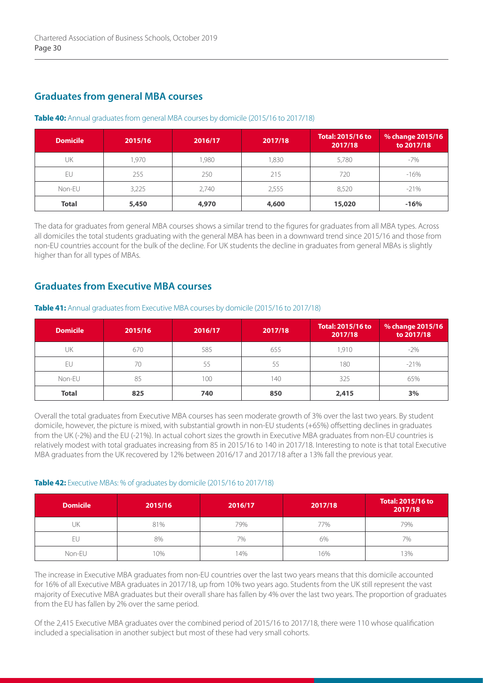## **Graduates from general MBA courses**

| <b>Domicile</b> | 2015/16 | 2016/17 | 2017/18 | <b>Total: 2015/16 to</b><br>2017/18 | % change 2015/16<br>to 2017/18 |
|-----------------|---------|---------|---------|-------------------------------------|--------------------------------|
| UK              | 1.970   | 1,980   | .830    | 5,780                               | $-7%$                          |
| EU              | 255     | 250     | 215     | 720                                 | $-16%$                         |
| Non-EU          | 3,225   | 2,740   | 2,555   | 8,520                               | $-21%$                         |
| <b>Total</b>    | 5,450   | 4,970   | 4,600   | 15,020                              | $-16%$                         |

#### **Table 40:** Annual graduates from general MBA courses by domicile (2015/16 to 2017/18)

The data for graduates from general MBA courses shows a similar trend to the figures for graduates from all MBA types. Across all domiciles the total students graduating with the general MBA has been in a downward trend since 2015/16 and those from non-EU countries account for the bulk of the decline. For UK students the decline in graduates from general MBAs is slightly higher than for all types of MBAs.

## **Graduates from Executive MBA courses**

### **Domicile 2015/16 2016/17 2017/18 Total: 2015/16 to 2017/18 % change 2015/16 to 2017/18** UK | 670 | 585 | 655 | 1,910 | -2% EU | 70 | 55 | 55 | 180 | -21% Non-EU | 85 | 100 | 140 | 325 | 65%

#### **Table 41:** Annual graduates from Executive MBA courses by domicile (2015/16 to 2017/18)

Overall the total graduates from Executive MBA courses has seen moderate growth of 3% over the last two years. By student domicile, however, the picture is mixed, with substantial growth in non-EU students (+65%) offsetting declines in graduates from the UK (-2%) and the EU (-21%). In actual cohort sizes the growth in Executive MBA graduates from non-EU countries is relatively modest with total graduates increasing from 85 in 2015/16 to 140 in 2017/18. Interesting to note is that total Executive MBA graduates from the UK recovered by 12% between 2016/17 and 2017/18 after a 13% fall the previous year.

**Total 825 740 850 2,415 3%**

### **Table 42:** Executive MBAs: % of graduates by domicile (2015/16 to 2017/18)

| <b>Domicile</b> | 2015/16 | 2016/17 | 2017/18 | <b>Total: 2015/16 to</b><br>2017/18 |
|-----------------|---------|---------|---------|-------------------------------------|
| UK              | 81%     | 79%     | 77%     | 79%                                 |
| FU              | 8%      | 7%      | 6%      | 7%                                  |
| Non-EU          | 10%     | 4%      | 16%     | 3%                                  |

The increase in Executive MBA graduates from non-EU countries over the last two years means that this domicile accounted for 16% of all Executive MBA graduates in 2017/18, up from 10% two years ago. Students from the UK still represent the vast majority of Executive MBA graduates but their overall share has fallen by 4% over the last two years. The proportion of graduates from the EU has fallen by 2% over the same period.

Of the 2,415 Executive MBA graduates over the combined period of 2015/16 to 2017/18, there were 110 whose qualification included a specialisation in another subject but most of these had very small cohorts.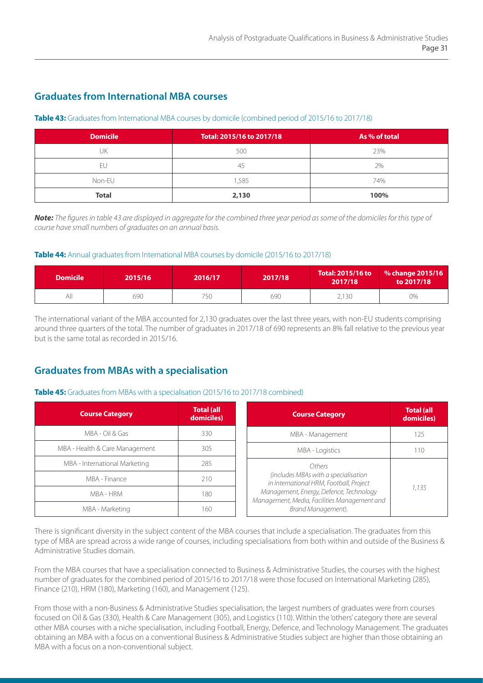## **Graduates from International MBA courses**

#### **Table 43:** Graduates from International MBA courses by domicile (combined period of 2015/16 to 2017/18)

| <b>Domicile</b> | Total: 2015/16 to 2017/18 | As % of total |
|-----------------|---------------------------|---------------|
| UK              | 500                       | 23%           |
| Ft.             | 45                        | 2%            |
| Non-EU          | ,585                      | 74%           |
| <b>Total</b>    | 2,130                     | 100%          |

*Note: The figures in table 43 are displayed in aggregate for the combined three year period as some of the domiciles for this type of course have small numbers of graduates on an annual basis.*

#### **Table 44:** Annual graduates from International MBA courses by domicile (2015/16 to 2017/18)

| <b>Domicile</b> | 2015/16 | 2016/17 | 2017/18 | Total: 2015/16 to<br>2017/18 | % change 2015/16<br>to 2017/18 |
|-----------------|---------|---------|---------|------------------------------|--------------------------------|
| All             | 690     | 750     | 690     | 2,130                        | 0%                             |

The international variant of the MBA accounted for 2,130 graduates over the last three years, with non-EU students comprising around three quarters of the total. The number of graduates in 2017/18 of 690 represents an 8% fall relative to the previous year but is the same total as recorded in 2015/16.

# **Graduates from MBAs with a specialisation**

### **Table 45:** Graduates from MBAs with a specialisation (2015/16 to 2017/18 combined)

| <b>Course Category</b>         | <b>Total (all</b><br>domiciles) | <b>Course Category</b>                                                                  | <b>Total (all</b><br>domiciles) |  |
|--------------------------------|---------------------------------|-----------------------------------------------------------------------------------------|---------------------------------|--|
| MBA - Oil & Gas                | 330                             | MBA - Management                                                                        | 125                             |  |
| MBA - Health & Care Management | 305                             | <b>MBA - Logistics</b>                                                                  | 110                             |  |
| MBA - International Marketing  | 285                             | Others                                                                                  | 1.135                           |  |
| MBA - Finance                  | 210                             | (includes MBAs with a specialisation<br>in International HRM, Football, Project         |                                 |  |
| MBA - HRM                      | 180                             | Management, Energy, Defence, Technology<br>Management, Media, Facilities Management and |                                 |  |
| MBA - Marketing                | 160.                            | Brand Management).                                                                      |                                 |  |

There is significant diversity in the subject content of the MBA courses that include a specialisation. The graduates from this type of MBA are spread across a wide range of courses, including specialisations from both within and outside of the Business & Administrative Studies domain.

From the MBA courses that have a specialisation connected to Business & Administrative Studies, the courses with the highest number of graduates for the combined period of 2015/16 to 2017/18 were those focused on International Marketing (285), Finance (210), HRM (180), Marketing (160), and Management (125).

From those with a non-Business & Administrative Studies specialisation, the largest numbers of graduates were from courses focused on Oil & Gas (330), Health & Care Management (305), and Logistics (110). Within the 'others' category there are several other MBA courses with a niche specialisation, including Football, Energy, Defence, and Technology Management. The graduates obtaining an MBA with a focus on a conventional Business & Administrative Studies subject are higher than those obtaining an MBA with a focus on a non-conventional subject.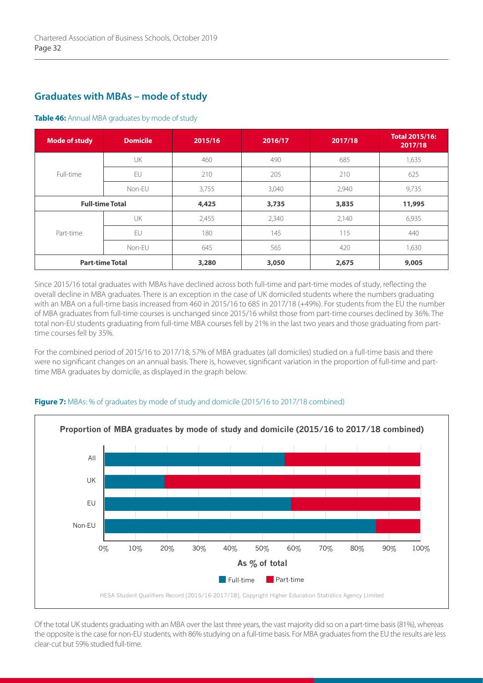## **Graduates with MBAs – mode of study**

#### **Table 46:** Annual MBA graduates by mode of study

| <b>Mode of study</b>   | <b>Domicile</b> | 2015/16 | 2016/17 | 2017/18 | <b>Total 2015/16:</b><br>2017/18 |
|------------------------|-----------------|---------|---------|---------|----------------------------------|
| Full-time              | UK              | 460     | 490     | 685     | 1,635                            |
|                        | EU              | 210     | 205     | 210     | 625                              |
|                        | Non-EU          | 3,755   | 3,040   | 2,940   | 9,735                            |
| <b>Full-time Total</b> |                 | 4,425   | 3,735   | 3,835   | 11,995                           |
| Part-time              | UK              | 2,455   | 2,340   | 2,140   | 6,935                            |
|                        | EU              | 180     | 145     | 115     | 440                              |
|                        | Non-EU          | 645     | 565     | 420     | 1,630                            |
| <b>Part-time Total</b> |                 | 3,280   | 3,050   | 2,675   | 9,005                            |

Since 2015/16 total graduates with MBAs have declined across both full-time and part-time modes of study, reflecting the overall decline in MBA graduates. There is an exception in the case of UK domiciled students where the numbers graduating with an MBA on a full-time basis increased from 460 in 2015/16 to 685 in 2017/18 (+49%). For students from the EU the number of MBA graduates from full-time courses is unchanged since 2015/16 whilst those from part-time courses declined by 36%. The total non-EU students graduating from full-time MBA courses fell by 21% in the last two years and those graduating from parttime courses fell by 35%.

For the combined period of 2015/16 to 2017/18, 57% of MBA graduates (all domiciles) studied on a full-time basis and there were no significant changes on an annual basis. There is, however, significant variation in the proportion of full-time and parttime MBA graduates by domicile, as displayed in the graph below.



#### **Figure 7:** MBAs: % of graduates by mode of study and domicile (2015/16 to 2017/18 combined)

Of the total UK students graduating with an MBA over the last three years, the vast majority did so on a part-time basis (81%), whereas the opposite is the case for non-EU students, with 86% studying on a full-time basis. For MBA graduates from the EU the results are less clear-cut but 59% studied full-time.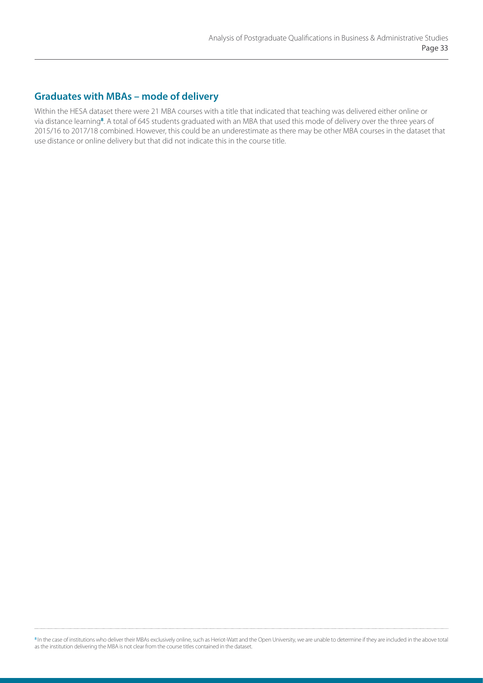## **Graduates with MBAs – mode of delivery**

Within the HESA dataset there were 21 MBA courses with a title that indicated that teaching was delivered either online or via distance learning**<sup>8</sup>** . A total of 645 students graduated with an MBA that used this mode of delivery over the three years of 2015/16 to 2017/18 combined. However, this could be an underestimate as there may be other MBA courses in the dataset that use distance or online delivery but that did not indicate this in the course title.

**<sup>8</sup>**In the case of institutions who deliver their MBAs exclusively online, such as Heriot-Watt and the Open University, we are unable to determine if they are included in the above total as the institution delivering the MBA is not clear from the course titles contained in the dataset.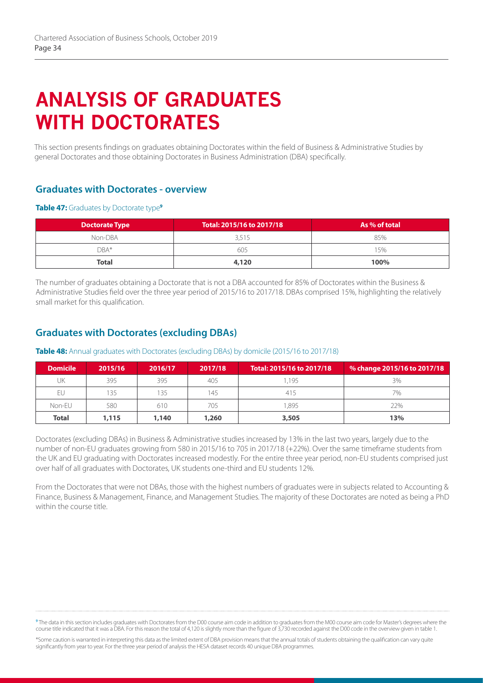# **ANALYSIS OF GRADUATES WITH DOCTORATES**

This section presents findings on graduates obtaining Doctorates within the field of Business & Administrative Studies by general Doctorates and those obtaining Doctorates in Business Administration (DBA) specifically.

## **Graduates with Doctorates - overview**

#### **Table 47:** Graduates by Doctorate type<sup>9</sup>

| <b>Doctorate Type</b> | Total: 2015/16 to 2017/18 | As % of total |  |
|-----------------------|---------------------------|---------------|--|
| Non-DBA               | 3.515                     | 85%           |  |
| $DBA*$                | 605                       | 15%           |  |
| <b>Total</b>          | 4,120                     | 100%          |  |

The number of graduates obtaining a Doctorate that is not a DBA accounted for 85% of Doctorates within the Business & Administrative Studies field over the three year period of 2015/16 to 2017/18. DBAs comprised 15%, highlighting the relatively small market for this qualification.

## **Graduates with Doctorates (excluding DBAs)**

| <b>Domicile</b> | 2015/16 | 2016/17 | 2017/18 | Total: 2015/16 to 2017/18 | % change 2015/16 to 2017/18 |
|-----------------|---------|---------|---------|---------------------------|-----------------------------|
| UK              | 395     | 395     | 405     | 1.195                     | 3%                          |
| EU              | 135     | 35      | 145     | 415                       | 7%                          |
| Non-EU          | 580     | 610     | 705     | .895                      | 22%                         |
| <b>Total</b>    | 1,115   | 1,140   | 1,260   | 3,505                     | 13%                         |

#### **Table 48:** Annual graduates with Doctorates (excluding DBAs) by domicile (2015/16 to 2017/18)

Doctorates (excluding DBAs) in Business & Administrative studies increased by 13% in the last two years, largely due to the number of non-EU graduates growing from 580 in 2015/16 to 705 in 2017/18 (+22%). Over the same timeframe students from the UK and EU graduating with Doctorates increased modestly. For the entire three year period, non-EU students comprised just over half of all graduates with Doctorates, UK students one-third and EU students 12%.

From the Doctorates that were not DBAs, those with the highest numbers of graduates were in subjects related to Accounting & Finance, Business & Management, Finance, and Management Studies. The majority of these Doctorates are noted as being a PhD within the course title.

**<sup>9</sup>**The data in this section includes graduates with Doctorates from the D00 course aim code in addition to graduates from the M00 course aim code for Master's degrees where the course title indicated that it was a DBA. For this reason the total of 4,120 is slightly more than the figure of 3,730 recorded against the D00 code in the overview given in table 1.

\*Some caution is warranted in interpreting this data as the limited extent of DBA provision means that the annual totals of students obtaining the qualification can vary quite significantly from year to year. For the three year period of analysis the HESA dataset records 40 unique DBA programmes.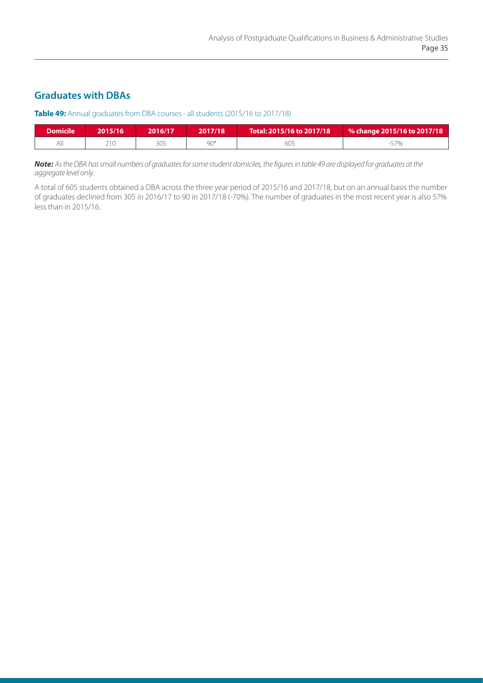## **Graduates with DBAs**

#### **Table 49:** Annual graduates from DBA courses - all students (2015/16 to 2017/18)

| <b>Domicile</b> | 2015/16 | 2016/17 | 2017/18 | Total: 2015/16 to 2017/18 | % change 2015/16 to 2017/18 |
|-----------------|---------|---------|---------|---------------------------|-----------------------------|
| ΑIΙ             | 210     | 305     | 90*     | bU:                       |                             |

*Note: As the DBA has small numbers of graduates for some student domiciles, the figures in table 49 are displayed for graduates at the aggregate level only.* 

A total of 605 students obtained a DBA across the three year period of 2015/16 and 2017/18, but on an annual basis the number of graduates declined from 305 in 2016/17 to 90 in 2017/18 (-70%). The number of graduates in the most recent year is also 57% less than in 2015/16.